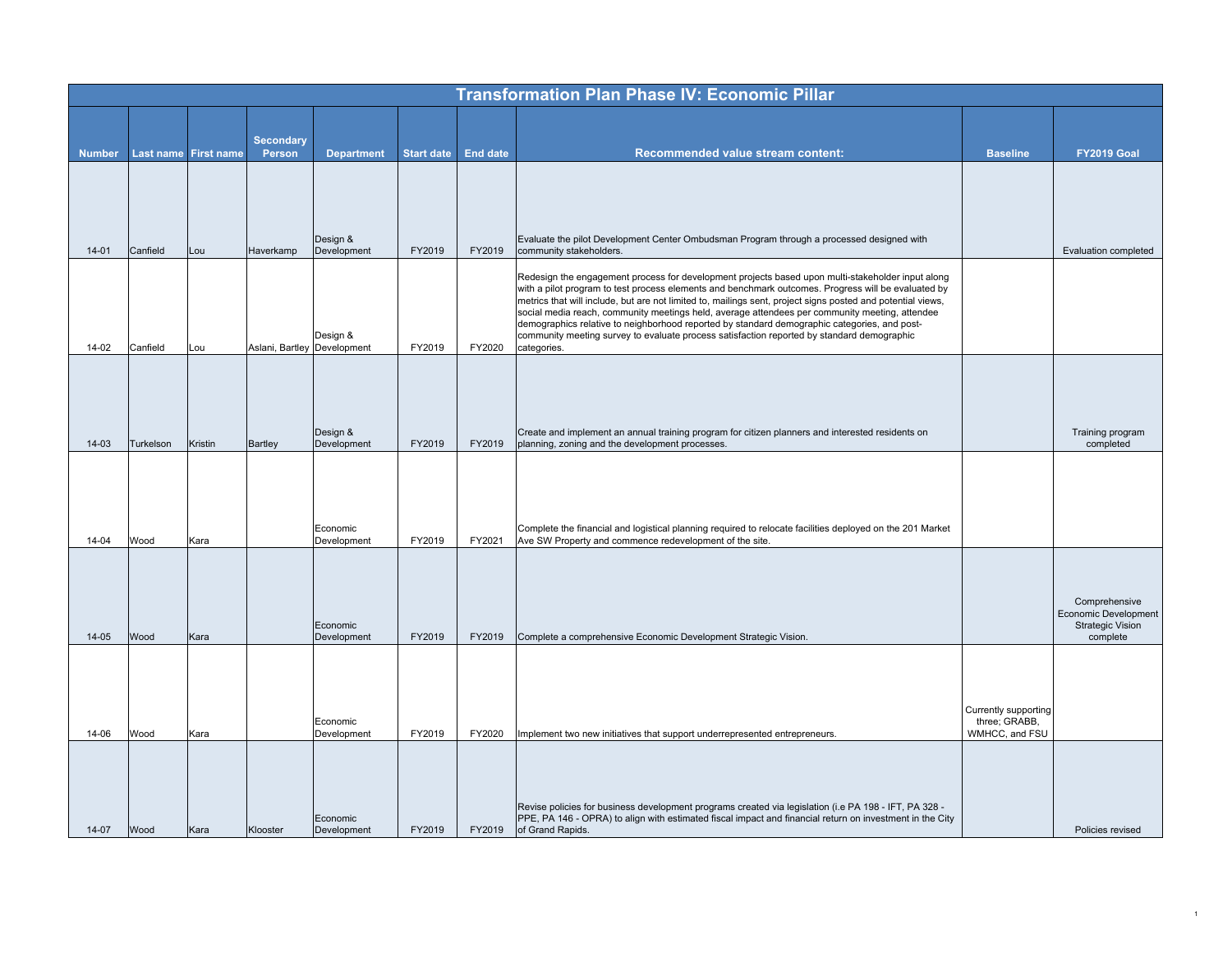| <b>Transformation Plan Phase IV: Economic Pillar</b>                                                                                                                                                                                                                                                                          |                                                 |
|-------------------------------------------------------------------------------------------------------------------------------------------------------------------------------------------------------------------------------------------------------------------------------------------------------------------------------|-------------------------------------------------|
|                                                                                                                                                                                                                                                                                                                               |                                                 |
| <b>Secondary</b><br>Last name First name<br><b>Start date</b><br><b>End date</b><br>Recommended value stream content:<br><b>Number</b><br>Person<br><b>Department</b>                                                                                                                                                         | <b>Baseline</b><br><b>FY2019 Goal</b>           |
|                                                                                                                                                                                                                                                                                                                               |                                                 |
|                                                                                                                                                                                                                                                                                                                               |                                                 |
|                                                                                                                                                                                                                                                                                                                               |                                                 |
| Design &<br>Evaluate the pilot Development Center Ombudsman Program through a processed designed with<br>Canfield<br>FY2019<br>FY2019<br>$14 - 01$<br>Lou<br>Haverkamp<br>Development<br>community stakeholders.                                                                                                              | Evaluation completed                            |
| Redesign the engagement process for development projects based upon multi-stakeholder input along                                                                                                                                                                                                                             |                                                 |
| with a pilot program to test process elements and benchmark outcomes. Progress will be evaluated by<br>metrics that will include, but are not limited to, mailings sent, project signs posted and potential views,                                                                                                            |                                                 |
| social media reach, community meetings held, average attendees per community meeting, attendee<br>demographics relative to neighborhood reported by standard demographic categories, and post-                                                                                                                                |                                                 |
| community meeting survey to evaluate process satisfaction reported by standard demographic<br>Design &<br>Canfield<br>Aslani, Bartley Development<br>FY2019<br>FY2020<br>14-02<br>Lou<br>categories.                                                                                                                          |                                                 |
|                                                                                                                                                                                                                                                                                                                               |                                                 |
|                                                                                                                                                                                                                                                                                                                               |                                                 |
|                                                                                                                                                                                                                                                                                                                               |                                                 |
| Create and implement an annual training program for citizen planners and interested residents on<br>Design &<br>FY2019<br>$14 - 03$<br>Turkelson<br>Kristin<br>Development<br>FY2019<br>planning, zoning and the development processes.<br><b>Bartley</b>                                                                     | Training program<br>completed                   |
|                                                                                                                                                                                                                                                                                                                               |                                                 |
|                                                                                                                                                                                                                                                                                                                               |                                                 |
| Economic<br>Complete the financial and logistical planning required to relocate facilities deployed on the 201 Market                                                                                                                                                                                                         |                                                 |
| $14 - 04$<br>FY2019<br>FY2021<br>Ave SW Property and commence redevelopment of the site.<br>Wood<br>Development<br>Kara                                                                                                                                                                                                       |                                                 |
|                                                                                                                                                                                                                                                                                                                               |                                                 |
|                                                                                                                                                                                                                                                                                                                               | Comprehensive                                   |
| Economic                                                                                                                                                                                                                                                                                                                      | Economic Development<br><b>Strategic Vision</b> |
| $14 - 05$<br>FY2019<br>Wood<br>Kara<br>Development<br>FY2019<br>Complete a comprehensive Economic Development Strategic Vision.                                                                                                                                                                                               | complete                                        |
|                                                                                                                                                                                                                                                                                                                               |                                                 |
|                                                                                                                                                                                                                                                                                                                               |                                                 |
| Economic                                                                                                                                                                                                                                                                                                                      | Currently supporting<br>three; GRABB,           |
| FY2019<br>14-06<br>Wood<br>Kara<br>Development<br>FY2020<br>Implement two new initiatives that support underrepresented entrepreneurs.                                                                                                                                                                                        | WMHCC, and FSU                                  |
|                                                                                                                                                                                                                                                                                                                               |                                                 |
|                                                                                                                                                                                                                                                                                                                               |                                                 |
| - Revise policies for business development programs created via legislation (i.e PA 198 - IFT, PA 328<br>PPE, PA 146 - OPRA) to align with estimated fiscal impact and financial return on investment in the City<br>Economic<br>$14 - 07$<br>Wood<br>FY2019<br>FY2019<br>of Grand Rapids.<br>Kara<br>Klooster<br>Development | Policies revised                                |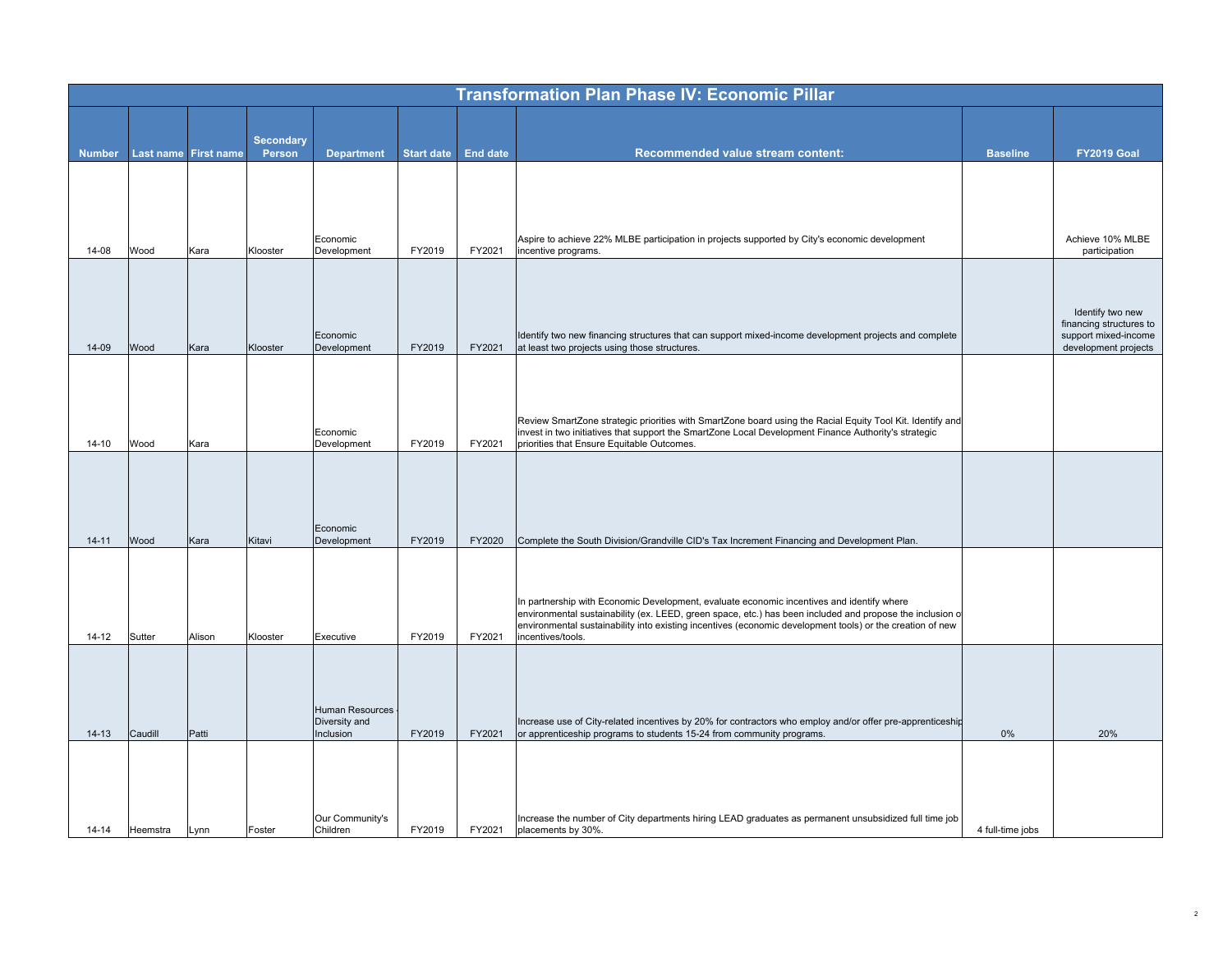|               |          |                      |                            |                                         |                   |                 | <b>Transformation Plan Phase IV: Economic Pillar</b>                                                                                                                                                                  |                  |                                                 |
|---------------|----------|----------------------|----------------------------|-----------------------------------------|-------------------|-----------------|-----------------------------------------------------------------------------------------------------------------------------------------------------------------------------------------------------------------------|------------------|-------------------------------------------------|
|               |          |                      |                            |                                         |                   |                 |                                                                                                                                                                                                                       |                  |                                                 |
| <b>Number</b> |          | Last name First name | <b>Secondary</b><br>Person | <b>Department</b>                       | <b>Start date</b> | <b>End date</b> | Recommended value stream content:                                                                                                                                                                                     | <b>Baseline</b>  | <b>FY2019 Goal</b>                              |
|               |          |                      |                            |                                         |                   |                 |                                                                                                                                                                                                                       |                  |                                                 |
|               |          |                      |                            |                                         |                   |                 |                                                                                                                                                                                                                       |                  |                                                 |
|               |          |                      |                            |                                         |                   |                 |                                                                                                                                                                                                                       |                  |                                                 |
|               |          |                      |                            | Economic                                |                   |                 | Aspire to achieve 22% MLBE participation in projects supported by City's economic development                                                                                                                         |                  | Achieve 10% MLBE                                |
| 14-08         | Wood     | Kara                 | Klooster                   | Development                             | FY2019            | FY2021          | incentive programs.                                                                                                                                                                                                   |                  | participation                                   |
|               |          |                      |                            |                                         |                   |                 |                                                                                                                                                                                                                       |                  |                                                 |
|               |          |                      |                            |                                         |                   |                 |                                                                                                                                                                                                                       |                  | Identify two new                                |
|               |          |                      |                            | Economic                                |                   |                 | Identify two new financing structures that can support mixed-income development projects and complete                                                                                                                 |                  | financing structures to<br>support mixed-income |
| 14-09         | Wood     | Kara                 | Klooster                   | Development                             | FY2019            | FY2021          | at least two projects using those structures.                                                                                                                                                                         |                  | development projects                            |
|               |          |                      |                            |                                         |                   |                 |                                                                                                                                                                                                                       |                  |                                                 |
|               |          |                      |                            |                                         |                   |                 |                                                                                                                                                                                                                       |                  |                                                 |
|               |          |                      |                            | Economic                                |                   |                 | Review SmartZone strategic priorities with SmartZone board using the Racial Equity Tool Kit. Identify and<br>invest in two initiatives that support the SmartZone Local Development Finance Authority's strategic     |                  |                                                 |
| $14 - 10$     | Wood     | Kara                 |                            | Development                             | FY2019            | FY2021          | priorities that Ensure Equitable Outcomes.                                                                                                                                                                            |                  |                                                 |
|               |          |                      |                            |                                         |                   |                 |                                                                                                                                                                                                                       |                  |                                                 |
|               |          |                      |                            |                                         |                   |                 |                                                                                                                                                                                                                       |                  |                                                 |
|               |          |                      |                            | Economic                                |                   |                 |                                                                                                                                                                                                                       |                  |                                                 |
| $14 - 11$     | Wood     | Kara                 | Kitavi                     | Development                             | FY2019            | FY2020          | Complete the South Division/Grandville CID's Tax Increment Financing and Development Plan.                                                                                                                            |                  |                                                 |
|               |          |                      |                            |                                         |                   |                 |                                                                                                                                                                                                                       |                  |                                                 |
|               |          |                      |                            |                                         |                   |                 | In partnership with Economic Development, evaluate economic incentives and identify where                                                                                                                             |                  |                                                 |
|               |          |                      |                            |                                         |                   |                 | environmental sustainability (ex. LEED, green space, etc.) has been included and propose the inclusion c<br>environmental sustainability into existing incentives (economic development tools) or the creation of new |                  |                                                 |
| $14 - 12$     | Sutter   | Alison               | Klooster                   | Executive                               | FY2019            | FY2021          | incentives/tools.                                                                                                                                                                                                     |                  |                                                 |
|               |          |                      |                            |                                         |                   |                 |                                                                                                                                                                                                                       |                  |                                                 |
|               |          |                      |                            |                                         |                   |                 |                                                                                                                                                                                                                       |                  |                                                 |
|               |          |                      |                            | <b>Human Resources</b><br>Diversity and |                   |                 | Increase use of City-related incentives by 20% for contractors who employ and/or offer pre-apprenticeship                                                                                                             |                  |                                                 |
| $14 - 13$     | Caudill  | Patti                |                            | Inclusion                               | FY2019            | FY2021          | or apprenticeship programs to students 15-24 from community programs.                                                                                                                                                 | 0%               | 20%                                             |
|               |          |                      |                            |                                         |                   |                 |                                                                                                                                                                                                                       |                  |                                                 |
|               |          |                      |                            |                                         |                   |                 |                                                                                                                                                                                                                       |                  |                                                 |
|               |          |                      |                            | Our Community's                         |                   |                 | Increase the number of City departments hiring LEAD graduates as permanent unsubsidized full time job                                                                                                                 |                  |                                                 |
| $14 - 14$     | Heemstra | Lynn                 | Foster                     | Children                                | FY2019            | FY2021          | placements by 30%.                                                                                                                                                                                                    | 4 full-time jobs |                                                 |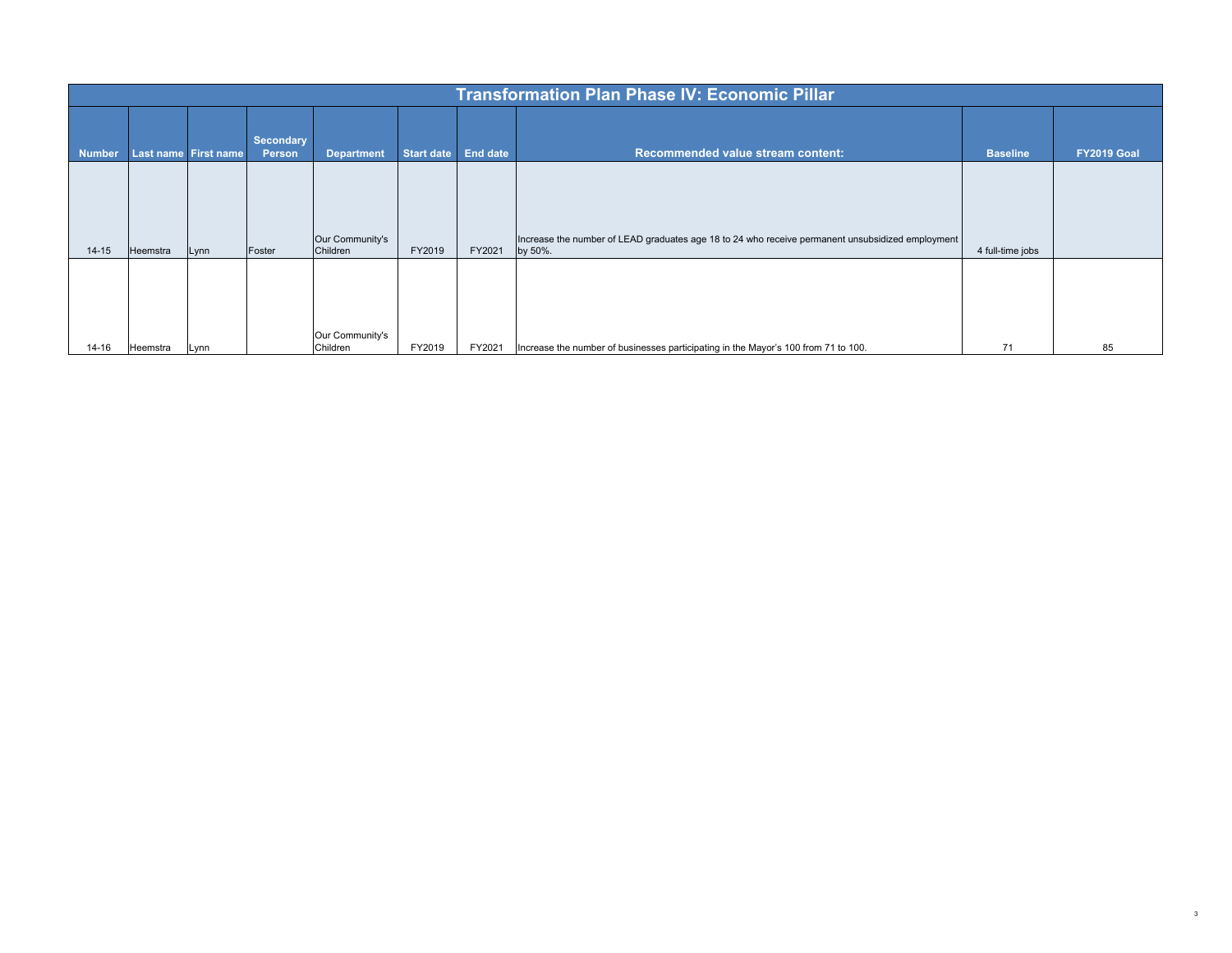|               |          |                      |                            |                             |            |                 | <b>Transformation Plan Phase IV: Economic Pillar</b>                                                        |                  |             |
|---------------|----------|----------------------|----------------------------|-----------------------------|------------|-----------------|-------------------------------------------------------------------------------------------------------------|------------------|-------------|
| <b>Number</b> |          | Last name First name | Secondary<br><b>Person</b> | <b>Department</b>           | Start date | <b>End date</b> | Recommended value stream content:                                                                           | <b>Baseline</b>  | FY2019 Goal |
|               |          |                      |                            |                             |            |                 |                                                                                                             |                  |             |
| $14 - 15$     | Heemstra | Lynn                 | Foster                     | Our Community's<br>Children | FY2019     | FY2021          | Increase the number of LEAD graduates age 18 to 24 who receive permanent unsubsidized employment<br>by 50%. | 4 full-time jobs |             |
|               |          |                      |                            | Our Community's             |            |                 |                                                                                                             |                  |             |
| $14 - 16$     | Heemstra | Lynn                 |                            | Children                    | FY2019     | FY2021          | Increase the number of businesses participating in the Mayor's 100 from 71 to 100.                          | 71               | 85          |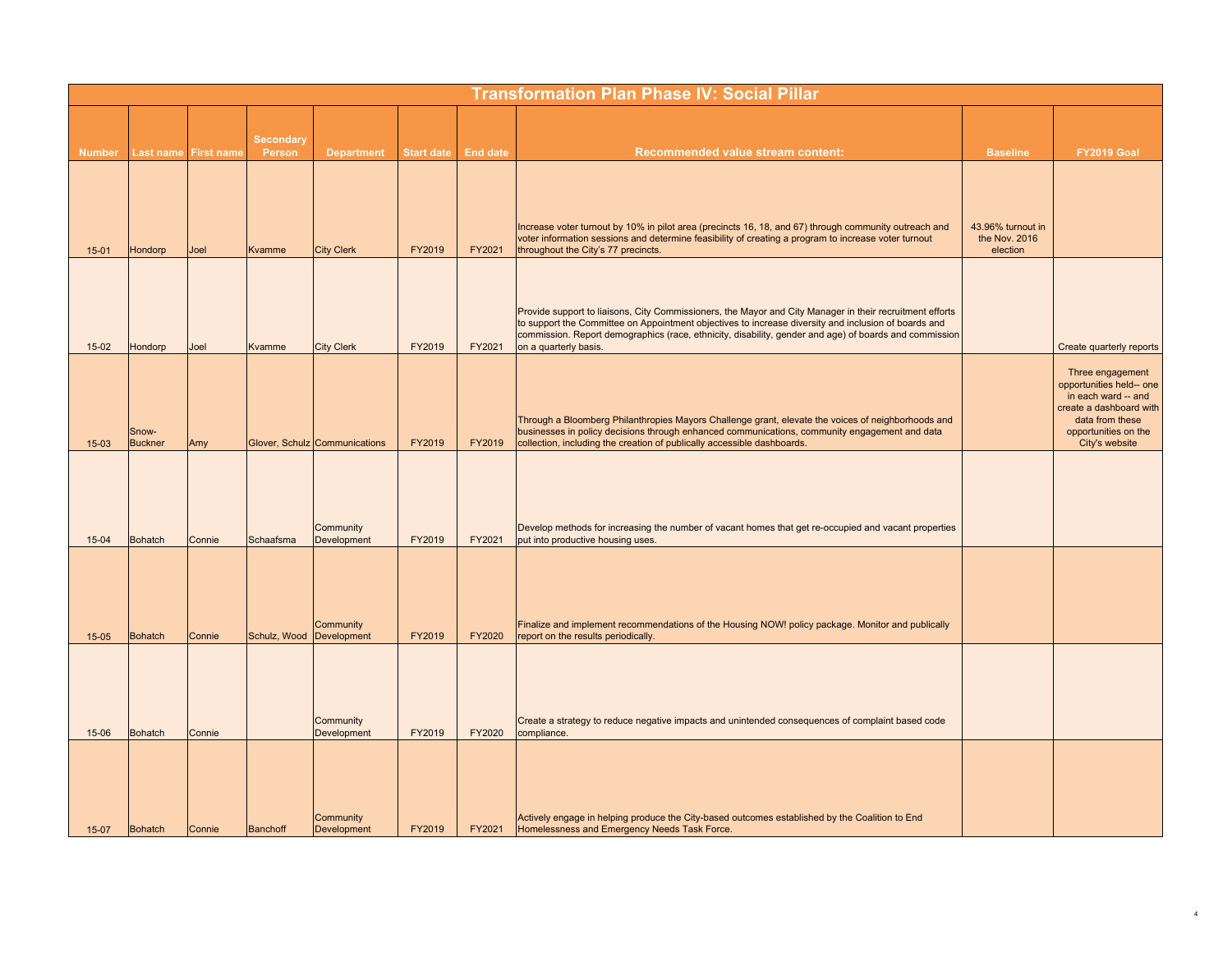|               |                         |                   |                            |                               |                   |                 | <b>Transformation Plan Phase IV: Social Pillar</b>                                                                                                                                                                                                                                                                                                  |                                                |                                                                                                                                                             |
|---------------|-------------------------|-------------------|----------------------------|-------------------------------|-------------------|-----------------|-----------------------------------------------------------------------------------------------------------------------------------------------------------------------------------------------------------------------------------------------------------------------------------------------------------------------------------------------------|------------------------------------------------|-------------------------------------------------------------------------------------------------------------------------------------------------------------|
| <b>Number</b> | Last name               | <b>First name</b> | <b>Secondary</b><br>Person | <b>Department</b>             | <b>Start date</b> | <b>End date</b> | Recommended value stream content:                                                                                                                                                                                                                                                                                                                   | <b>Baseline</b>                                | <b>FY2019 Goal</b>                                                                                                                                          |
| $15 - 01$     | Hondorp                 | Joel              | <b>Kvamme</b>              | <b>City Clerk</b>             | FY2019            | FY2021          | Increase voter turnout by 10% in pilot area (precincts 16, 18, and 67) through community outreach and<br>voter information sessions and determine feasibility of creating a program to increase voter turnout<br>throughout the City's 77 precincts.                                                                                                | 43.96% turnout in<br>the Nov. 2016<br>election |                                                                                                                                                             |
| $15-02$       | Hondorp                 | Joel              | Kvamme                     | <b>City Clerk</b>             | FY2019            | FY2021          | Provide support to liaisons, City Commissioners, the Mayor and City Manager in their recruitment efforts<br>to support the Committee on Appointment objectives to increase diversity and inclusion of boards and<br>commission. Report demographics (race, ethnicity, disability, gender and age) of boards and commission<br>on a quarterly basis. |                                                | Create quarterly reports                                                                                                                                    |
| $15-03$       | Snow-<br><b>Buckner</b> | Amy               |                            | Glover, Schulz Communications | FY2019            | FY2019          | Through a Bloomberg Philanthropies Mayors Challenge grant, elevate the voices of neighborhoods and<br>businesses in policy decisions through enhanced communications, community engagement and data<br>collection, including the creation of publically accessible dashboards.                                                                      |                                                | Three engagement<br>opportunities held-- one<br>in each ward -- and<br>create a dashboard with<br>data from these<br>opportunities on the<br>City's website |
| $15 - 04$     | <b>Bohatch</b>          | Connie            | Schaafsma                  | Community<br>Development      | FY2019            | FY2021          | Develop methods for increasing the number of vacant homes that get re-occupied and vacant properties<br>put into productive housing uses.                                                                                                                                                                                                           |                                                |                                                                                                                                                             |
| $15 - 05$     | <b>Bohatch</b>          | Connie            | Schulz, Wood Development   | Community                     | FY2019            | FY2020          | Finalize and implement recommendations of the Housing NOW! policy package. Monitor and publically<br>report on the results periodically.                                                                                                                                                                                                            |                                                |                                                                                                                                                             |
| 15-06         | <b>Bohatch</b>          | Connie            |                            | Community<br>Development      | FY2019            | FY2020          | Create a strategy to reduce negative impacts and unintended consequences of complaint based code<br>compliance.                                                                                                                                                                                                                                     |                                                |                                                                                                                                                             |
| $15-07$       | Bohatch                 | Connie            | Banchoff                   | Community<br>Development      | FY2019            | FY2021          | Actively engage in helping produce the City-based outcomes established by the Coalition to End<br>Homelessness and Emergency Needs Task Force.                                                                                                                                                                                                      |                                                |                                                                                                                                                             |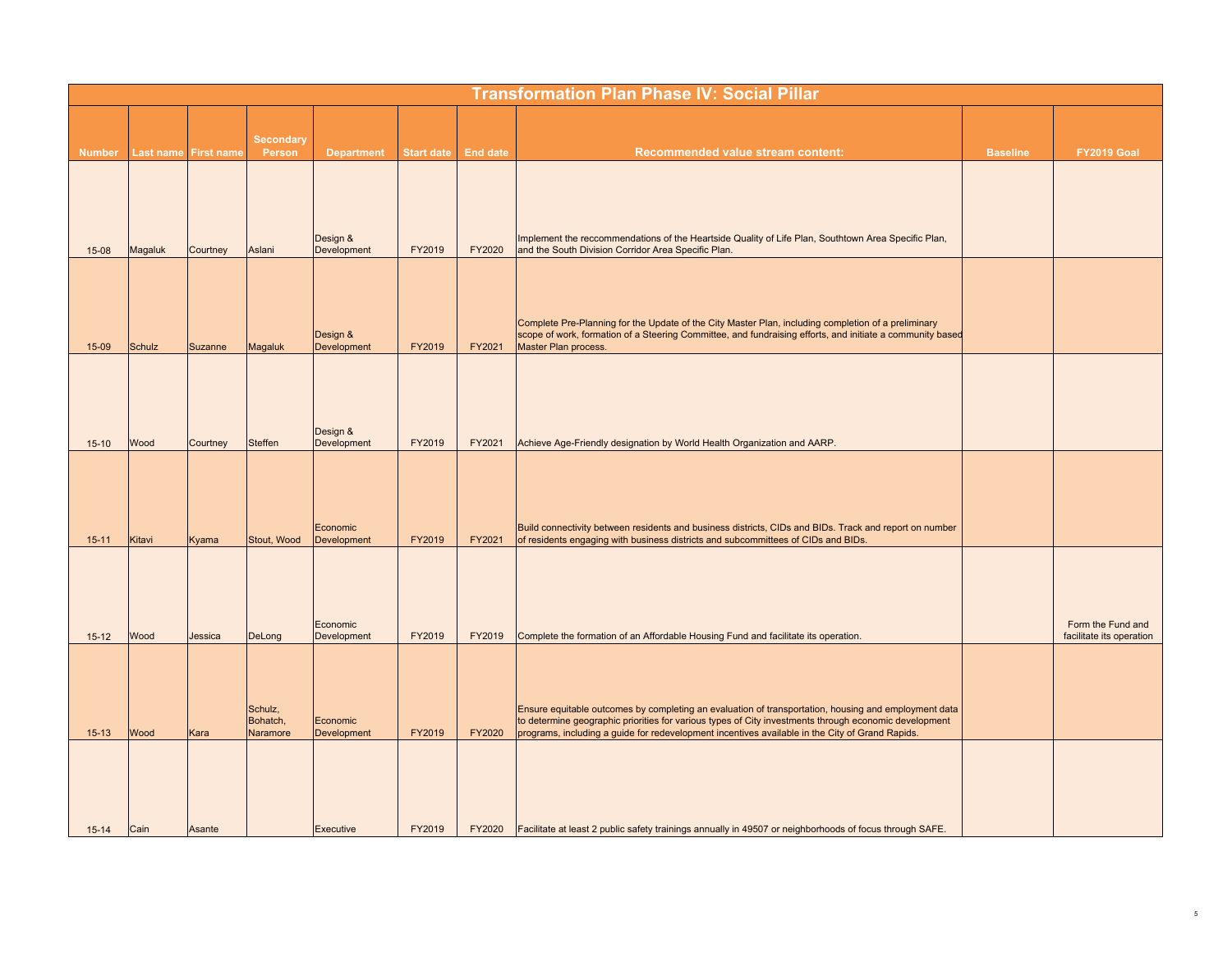|               |         |                      |                                 |                         |                   |                 | <b>Transformation Plan Phase IV: Social Pillar</b>                                                                                                                                                                                                                                                               |                 |                                               |
|---------------|---------|----------------------|---------------------------------|-------------------------|-------------------|-----------------|------------------------------------------------------------------------------------------------------------------------------------------------------------------------------------------------------------------------------------------------------------------------------------------------------------------|-----------------|-----------------------------------------------|
|               |         |                      | <b>Secondary</b>                |                         |                   |                 |                                                                                                                                                                                                                                                                                                                  |                 |                                               |
| <b>Number</b> |         | Last name First name | Person                          | <b>Department</b>       | <b>Start date</b> | <b>End date</b> | <b>Recommended value stream content:</b>                                                                                                                                                                                                                                                                         | <b>Baseline</b> | FY2019 Goal                                   |
| $15-08$       | Magaluk | Courtney             | Aslani                          | Design &<br>Development | FY2019            | FY2020          | Implement the reccommendations of the Heartside Quality of Life Plan, Southtown Area Specific Plan,<br>and the South Division Corridor Area Specific Plan.                                                                                                                                                       |                 |                                               |
| 15-09         | Schulz  | Suzanne              | Magaluk                         | Design &<br>Development | FY2019            | FY2021          | Complete Pre-Planning for the Update of the City Master Plan, including completion of a preliminary<br>scope of work, formation of a Steering Committee, and fundraising efforts, and initiate a community based<br>Master Plan process.                                                                         |                 |                                               |
| $15 - 10$     | Wood    | Courtney             | Steffen                         | Design &<br>Development | FY2019            | FY2021          | Achieve Age-Friendly designation by World Health Organization and AARP.                                                                                                                                                                                                                                          |                 |                                               |
| $15 - 11$     | Kitavi  | Kyama                | Stout, Wood                     | Economic<br>Development | FY2019            | FY2021          | Build connectivity between residents and business districts, CIDs and BIDs. Track and report on number<br>of residents engaging with business districts and subcommittees of CIDs and BIDs.                                                                                                                      |                 |                                               |
| $15 - 12$     | Wood    | Jessica              | DeLong                          | Economic<br>Development | FY2019            | FY2019          | Complete the formation of an Affordable Housing Fund and facilitate its operation.                                                                                                                                                                                                                               |                 | Form the Fund and<br>facilitate its operation |
| $15 - 13$     | Wood    | Kara                 | Schulz,<br>Bohatch,<br>Naramore | Economic<br>Development | FY2019            | FY2020          | Ensure equitable outcomes by completing an evaluation of transportation, housing and employment data<br>to determine geographic priorities for various types of City investments through economic development<br>programs, including a guide for redevelopment incentives available in the City of Grand Rapids. |                 |                                               |
| $15 - 14$     | Cain    | Asante               |                                 | Executive               | FY2019            | FY2020          | Facilitate at least 2 public safety trainings annually in 49507 or neighborhoods of focus through SAFE.                                                                                                                                                                                                          |                 |                                               |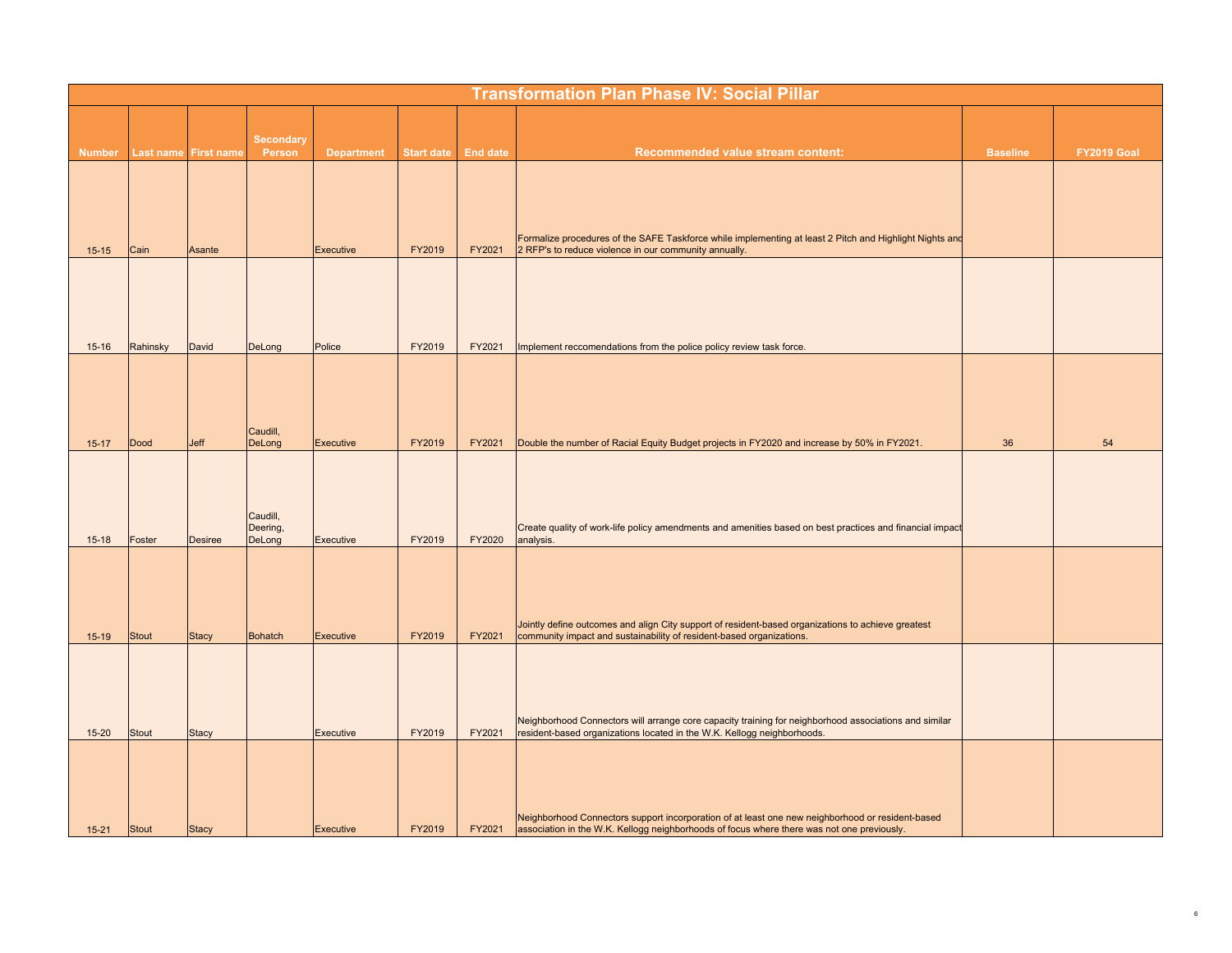|               |              |                      |                                |                   |                   |                 | <b>Transformation Plan Phase IV: Social Pillar</b>                                                                                                                                             |                 |                    |
|---------------|--------------|----------------------|--------------------------------|-------------------|-------------------|-----------------|------------------------------------------------------------------------------------------------------------------------------------------------------------------------------------------------|-----------------|--------------------|
|               |              |                      |                                |                   |                   |                 |                                                                                                                                                                                                |                 |                    |
| <b>Number</b> |              | Last name First name | <b>Secondary</b><br>Person     | <b>Department</b> | <b>Start date</b> | <b>End date</b> | Recommended value stream content:                                                                                                                                                              | <b>Baseline</b> | <b>FY2019 Goal</b> |
|               |              |                      |                                |                   |                   |                 |                                                                                                                                                                                                |                 |                    |
|               |              |                      |                                |                   |                   |                 |                                                                                                                                                                                                |                 |                    |
| $15 - 15$     | Cain         | Asante               |                                | Executive         | FY2019            | FY2021          | Formalize procedures of the SAFE Taskforce while implementing at least 2 Pitch and Highlight Nights and<br>2 RFP's to reduce violence in our community annually.                               |                 |                    |
|               |              |                      |                                |                   |                   |                 |                                                                                                                                                                                                |                 |                    |
|               |              |                      |                                |                   |                   |                 |                                                                                                                                                                                                |                 |                    |
|               |              |                      |                                |                   |                   |                 |                                                                                                                                                                                                |                 |                    |
| $15 - 16$     | Rahinsky     | David                | DeLong                         | Police            | FY2019            | FY2021          | Implement reccomendations from the police policy review task force.                                                                                                                            |                 |                    |
|               |              |                      |                                |                   |                   |                 |                                                                                                                                                                                                |                 |                    |
|               |              |                      |                                |                   |                   |                 |                                                                                                                                                                                                |                 |                    |
| $15 - 17$     | <b>Dood</b>  | Jeff                 | Caudill,<br>DeLong             | Executive         | FY2019            | FY2021          | Double the number of Racial Equity Budget projects in FY2020 and increase by 50% in FY2021.                                                                                                    | 36              | 54                 |
|               |              |                      |                                |                   |                   |                 |                                                                                                                                                                                                |                 |                    |
|               |              |                      |                                |                   |                   |                 |                                                                                                                                                                                                |                 |                    |
| $15 - 18$     | Foster       | <b>Desiree</b>       | Caudill,<br>Deering,<br>DeLong | Executive         | FY2019            | FY2020          | Create quality of work-life policy amendments and amenities based on best practices and financial impact<br>analysis.                                                                          |                 |                    |
|               |              |                      |                                |                   |                   |                 |                                                                                                                                                                                                |                 |                    |
|               |              |                      |                                |                   |                   |                 |                                                                                                                                                                                                |                 |                    |
|               |              |                      |                                |                   |                   |                 | Jointly define outcomes and align City support of resident-based organizations to achieve greatest                                                                                             |                 |                    |
| $15-19$       | Stout        | <b>Stacy</b>         | <b>Bohatch</b>                 | Executive         | FY2019            | FY2021          | community impact and sustainability of resident-based organizations.                                                                                                                           |                 |                    |
|               |              |                      |                                |                   |                   |                 |                                                                                                                                                                                                |                 |                    |
|               |              |                      |                                |                   |                   |                 |                                                                                                                                                                                                |                 |                    |
| $15 - 20$     | <b>Stout</b> | <b>Stacy</b>         |                                | <b>Executive</b>  | FY2019            | FY2021          | Neighborhood Connectors will arrange core capacity training for neighborhood associations and similar<br>resident-based organizations located in the W.K. Kellogg neighborhoods.               |                 |                    |
|               |              |                      |                                |                   |                   |                 |                                                                                                                                                                                                |                 |                    |
|               |              |                      |                                |                   |                   |                 |                                                                                                                                                                                                |                 |                    |
| $15 - 21$     | Stout        | Stacy                |                                | Executive         | FY2019            | FY2021          | Neighborhood Connectors support incorporation of at least one new neighborhood or resident-based<br>association in the W.K. Kellogg neighborhoods of focus where there was not one previously. |                 |                    |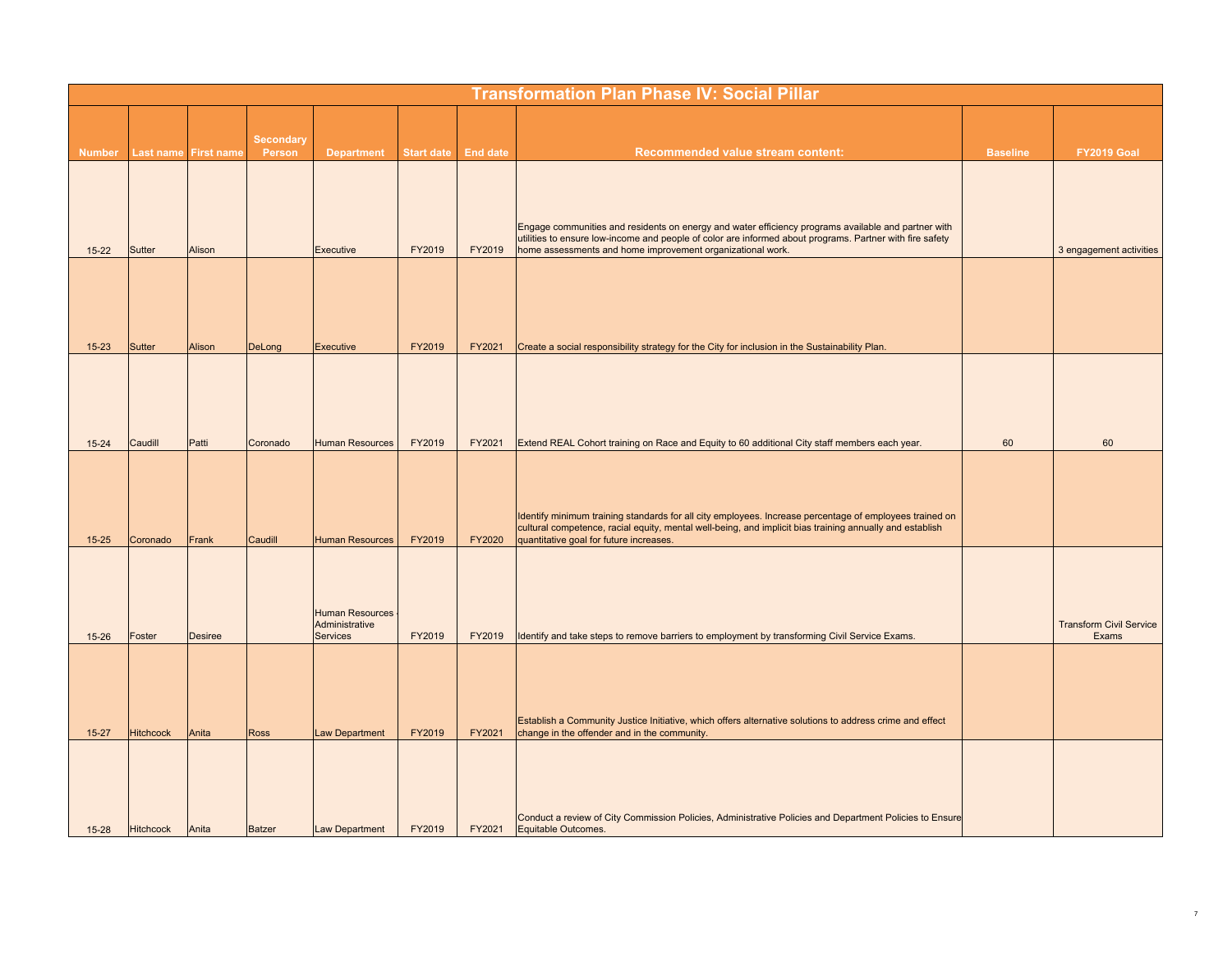|               |                  |                      |                            |                            |                   |                 | <b>Transformation Plan Phase IV: Social Pillar</b>                                                                                                                     |                 |                                         |
|---------------|------------------|----------------------|----------------------------|----------------------------|-------------------|-----------------|------------------------------------------------------------------------------------------------------------------------------------------------------------------------|-----------------|-----------------------------------------|
|               |                  |                      |                            |                            |                   |                 |                                                                                                                                                                        |                 |                                         |
| <b>Number</b> |                  | Last name First name | <b>Secondary</b><br>Person | <b>Department</b>          | <b>Start date</b> | <b>End date</b> | Recommended value stream content:                                                                                                                                      | <b>Baseline</b> | <b>FY2019 Goal</b>                      |
|               |                  |                      |                            |                            |                   |                 |                                                                                                                                                                        |                 |                                         |
|               |                  |                      |                            |                            |                   |                 |                                                                                                                                                                        |                 |                                         |
|               |                  |                      |                            |                            |                   |                 | Engage communities and residents on energy and water efficiency programs available and partner with                                                                    |                 |                                         |
| $15 - 22$     | <b>Sutter</b>    | Alison               |                            | <b>Executive</b>           | FY2019            | FY2019          | utilities to ensure low-income and people of color are informed about programs. Partner with fire safety<br>home assessments and home improvement organizational work. |                 | 3 engagement activities                 |
|               |                  |                      |                            |                            |                   |                 |                                                                                                                                                                        |                 |                                         |
|               |                  |                      |                            |                            |                   |                 |                                                                                                                                                                        |                 |                                         |
|               |                  |                      |                            |                            |                   |                 |                                                                                                                                                                        |                 |                                         |
| $15 - 23$     | <b>Sutter</b>    | Alison               | DeLong                     | Executive                  | FY2019            | FY2021          | Create a social responsibility strategy for the City for inclusion in the Sustainability Plan.                                                                         |                 |                                         |
|               |                  |                      |                            |                            |                   |                 |                                                                                                                                                                        |                 |                                         |
|               |                  |                      |                            |                            |                   |                 |                                                                                                                                                                        |                 |                                         |
|               |                  |                      |                            |                            |                   |                 |                                                                                                                                                                        |                 |                                         |
| $15 - 24$     | Caudill          | Patti                | Coronado                   | <b>Human Resources</b>     | FY2019            | FY2021          | Extend REAL Cohort training on Race and Equity to 60 additional City staff members each year.                                                                          | 60              | 60                                      |
|               |                  |                      |                            |                            |                   |                 |                                                                                                                                                                        |                 |                                         |
|               |                  |                      |                            |                            |                   |                 |                                                                                                                                                                        |                 |                                         |
|               |                  |                      |                            |                            |                   |                 | Identify minimum training standards for all city employees. Increase percentage of employees trained on                                                                |                 |                                         |
| $15 - 25$     | Coronado         | Frank                | Caudill                    | <b>Human Resources</b>     | FY2019            | FY2020          | cultural competence, racial equity, mental well-being, and implicit bias training annually and establish<br>quantitative goal for future increases.                    |                 |                                         |
|               |                  |                      |                            |                            |                   |                 |                                                                                                                                                                        |                 |                                         |
|               |                  |                      |                            |                            |                   |                 |                                                                                                                                                                        |                 |                                         |
|               |                  |                      |                            | <b>Human Resources</b>     |                   |                 |                                                                                                                                                                        |                 |                                         |
| $15 - 26$     | Foster           | <b>Desiree</b>       |                            | Administrative<br>Services | FY2019            | FY2019          | Identify and take steps to remove barriers to employment by transforming Civil Service Exams.                                                                          |                 | <b>Transform Civil Service</b><br>Exams |
|               |                  |                      |                            |                            |                   |                 |                                                                                                                                                                        |                 |                                         |
|               |                  |                      |                            |                            |                   |                 |                                                                                                                                                                        |                 |                                         |
|               |                  |                      |                            |                            |                   |                 |                                                                                                                                                                        |                 |                                         |
| $15 - 27$     | <b>Hitchcock</b> | Anita                | <b>Ross</b>                | <b>Law Department</b>      | FY2019            | FY2021          | Establish a Community Justice Initiative, which offers alternative solutions to address crime and effect<br>change in the offender and in the community.               |                 |                                         |
|               |                  |                      |                            |                            |                   |                 |                                                                                                                                                                        |                 |                                         |
|               |                  |                      |                            |                            |                   |                 |                                                                                                                                                                        |                 |                                         |
|               |                  |                      |                            |                            |                   |                 |                                                                                                                                                                        |                 |                                         |
| $15 - 28$     | <b>Hitchcock</b> | Anita                | <b>Batzer</b>              | <b>Law Department</b>      | FY2019            | FY2021          | Conduct a review of City Commission Policies, Administrative Policies and Department Policies to Ensure<br>Equitable Outcomes.                                         |                 |                                         |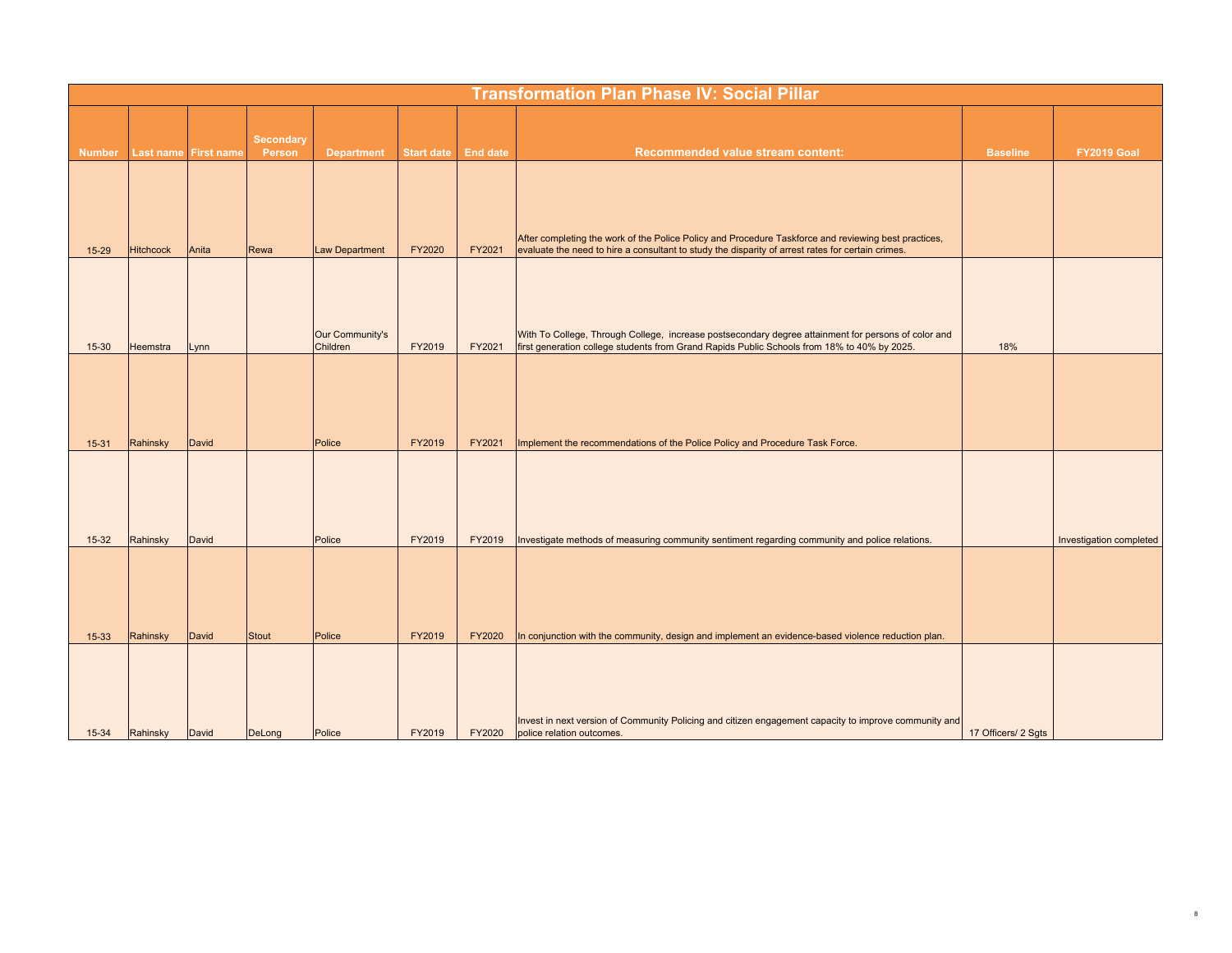|               | <b>Transformation Plan Phase IV: Social Pillar</b> |       |                            |                             |                   |                 |                                                                                                                                                                                                           |                     |                         |  |  |  |  |
|---------------|----------------------------------------------------|-------|----------------------------|-----------------------------|-------------------|-----------------|-----------------------------------------------------------------------------------------------------------------------------------------------------------------------------------------------------------|---------------------|-------------------------|--|--|--|--|
| <b>Number</b> | Last name First name                               |       | <b>Secondary</b><br>Person | <b>Department</b>           | <b>Start date</b> | <b>End date</b> | Recommended value stream content:                                                                                                                                                                         | <b>Baseline</b>     | FY2019 Goal             |  |  |  |  |
|               |                                                    |       |                            |                             |                   |                 |                                                                                                                                                                                                           |                     |                         |  |  |  |  |
| $15 - 29$     | <b>Hitchcock</b>                                   | Anita | Rewa                       | <b>Law Department</b>       | FY2020            | FY2021          | After completing the work of the Police Policy and Procedure Taskforce and reviewing best practices,<br>evaluate the need to hire a consultant to study the disparity of arrest rates for certain crimes. |                     |                         |  |  |  |  |
|               |                                                    |       |                            |                             |                   |                 |                                                                                                                                                                                                           |                     |                         |  |  |  |  |
| $15 - 30$     | Heemstra                                           | Lynn  |                            | Our Community's<br>Children | FY2019            | FY2021          | With To College, Through College, increase postsecondary degree attainment for persons of color and<br>first generation college students from Grand Rapids Public Schools from 18% to 40% by 2025.        | 18%                 |                         |  |  |  |  |
| $15 - 31$     | Rahinsky                                           | David |                            | Police                      | FY2019            | FY2021          | Implement the recommendations of the Police Policy and Procedure Task Force.                                                                                                                              |                     |                         |  |  |  |  |
| $15-32$       | Rahinsky                                           | David |                            | Police                      | FY2019            | FY2019          | Investigate methods of measuring community sentiment regarding community and police relations.                                                                                                            |                     | Investigation completed |  |  |  |  |
| $15 - 33$     | Rahinsky                                           | David | Stout                      | Police                      | FY2019            | <b>FY2020</b>   | In conjunction with the community, design and implement an evidence-based violence reduction plan.                                                                                                        |                     |                         |  |  |  |  |
| $15 - 34$     | Rahinsky                                           | David | DeLong                     | Police                      | FY2019            | FY2020          | Invest in next version of Community Policing and citizen engagement capacity to improve community and<br>police relation outcomes.                                                                        | 17 Officers/ 2 Sgts |                         |  |  |  |  |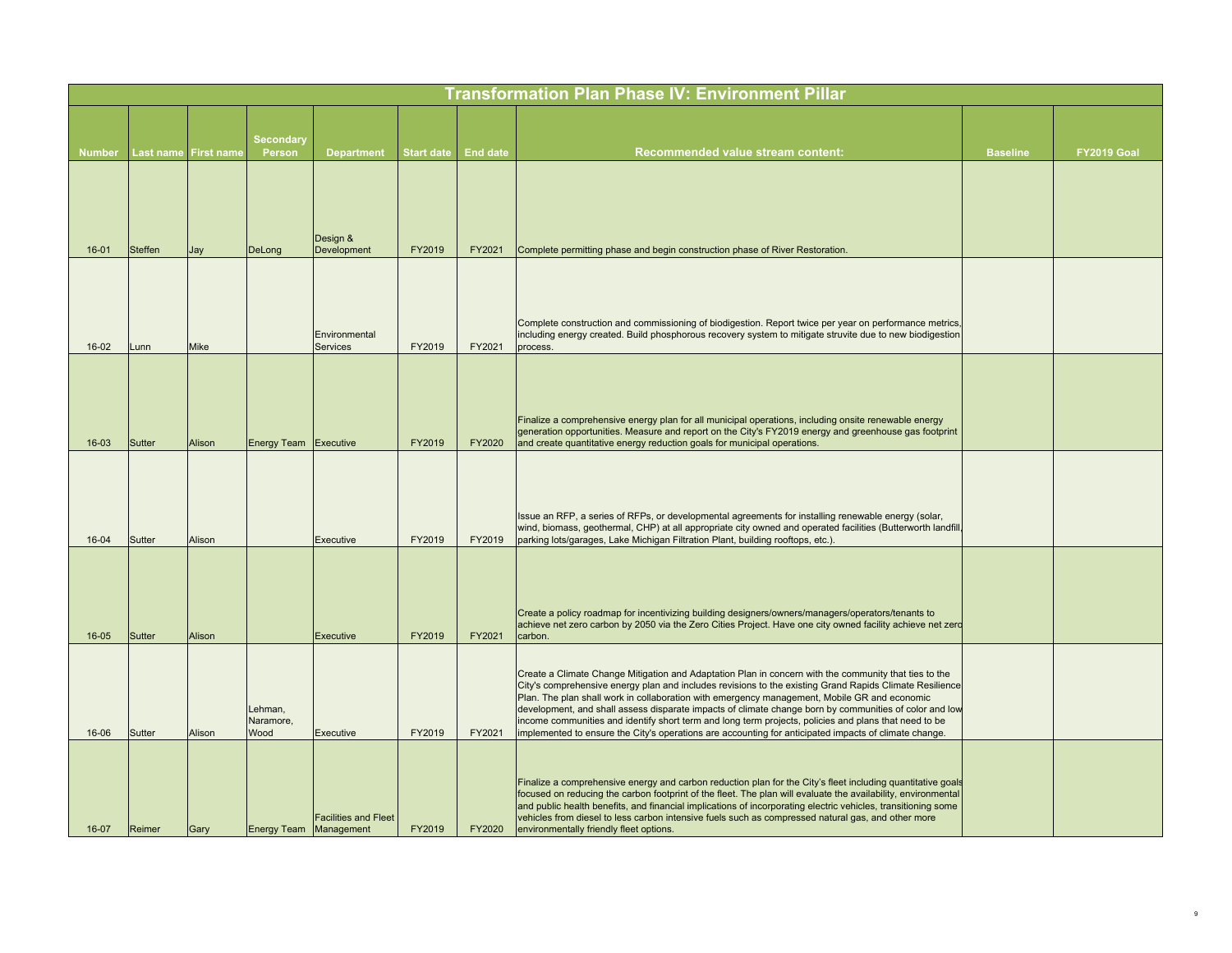|               |                |                   |                               |                                  |                   |                 | <b>Transformation Plan Phase IV: Environment Pillar</b>                                                                                                                                                                                                                                                                                                                                                                                                                                                                                                                                                                                      |                 |             |
|---------------|----------------|-------------------|-------------------------------|----------------------------------|-------------------|-----------------|----------------------------------------------------------------------------------------------------------------------------------------------------------------------------------------------------------------------------------------------------------------------------------------------------------------------------------------------------------------------------------------------------------------------------------------------------------------------------------------------------------------------------------------------------------------------------------------------------------------------------------------------|-----------------|-------------|
| <b>Number</b> | Last name      | <b>First name</b> | <b>Secondary</b><br>Person    | <b>Department</b>                | <b>Start date</b> | <b>End date</b> | Recommended value stream content:                                                                                                                                                                                                                                                                                                                                                                                                                                                                                                                                                                                                            | <b>Baseline</b> | FY2019 Goal |
| $16 - 01$     | <b>Steffen</b> | Jay               | DeLong                        | Design &<br>Development          | FY2019            | FY2021          | Complete permitting phase and begin construction phase of River Restoration.                                                                                                                                                                                                                                                                                                                                                                                                                                                                                                                                                                 |                 |             |
| $16-02$       | Lunn           | <b>Mike</b>       |                               | Environmental<br><b>Services</b> | FY2019            | FY2021          | Complete construction and commissioning of biodigestion. Report twice per year on performance metrics,<br>including energy created. Build phosphorous recovery system to mitigate struvite due to new biodigestion<br>process.                                                                                                                                                                                                                                                                                                                                                                                                               |                 |             |
| $16 - 03$     | Sutter         | Alison            | Energy Team Executive         |                                  | FY2019            | FY2020          | Finalize a comprehensive energy plan for all municipal operations, including onsite renewable energy<br>generation opportunities. Measure and report on the City's FY2019 energy and greenhouse gas footprint<br>and create quantitative energy reduction goals for municipal operations.                                                                                                                                                                                                                                                                                                                                                    |                 |             |
| $16 - 04$     | Sutter         | Alison            |                               | Executive                        | FY2019            | FY2019          | Issue an RFP, a series of RFPs, or developmental agreements for installing renewable energy (solar,<br>wind, biomass, geothermal, CHP) at all appropriate city owned and operated facilities (Butterworth landfill,<br>parking lots/garages, Lake Michigan Filtration Plant, building rooftops, etc.).                                                                                                                                                                                                                                                                                                                                       |                 |             |
| $16 - 05$     | <b>Sutter</b>  | Alison            |                               | Executive                        | FY2019            | FY2021          | Create a policy roadmap for incentivizing building designers/owners/managers/operators/tenants to<br>achieve net zero carbon by 2050 via the Zero Cities Project. Have one city owned facility achieve net zero<br>carbon.                                                                                                                                                                                                                                                                                                                                                                                                                   |                 |             |
| 16-06         | Sutter         | Alison            | Lehman,<br>Naramore,<br>Wood  | Executive                        | FY2019            | FY2021          | Create a Climate Change Mitigation and Adaptation Plan in concern with the community that ties to the<br>City's comprehensive energy plan and includes revisions to the existing Grand Rapids Climate Resilience<br>Plan. The plan shall work in collaboration with emergency management, Mobile GR and economic<br>development, and shall assess disparate impacts of climate change born by communities of color and low<br>income communities and identify short term and long term projects, policies and plans that need to be<br>implemented to ensure the City's operations are accounting for anticipated impacts of climate change. |                 |             |
| $16-07$       | Reimer         | Gary              | <b>Energy Team Management</b> | <b>Facilities and Fleet</b>      | FY2019            | FY2020          | Finalize a comprehensive energy and carbon reduction plan for the City's fleet including quantitative goals<br>focused on reducing the carbon footprint of the fleet. The plan will evaluate the availability, environmental<br>and public health benefits, and financial implications of incorporating electric vehicles, transitioning some<br>vehicles from diesel to less carbon intensive fuels such as compressed natural gas, and other more<br>environmentally friendly fleet options.                                                                                                                                               |                 |             |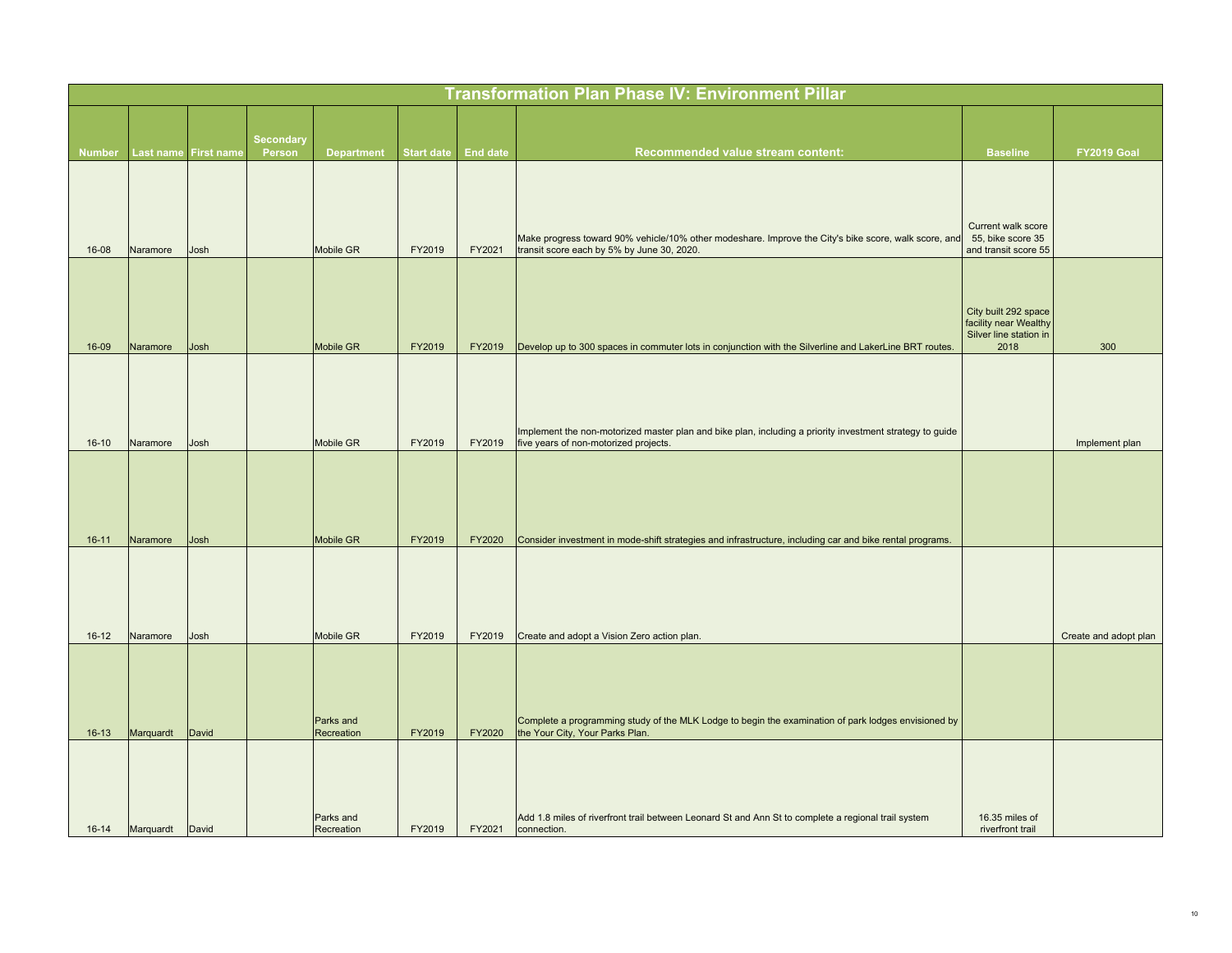|               |           |                      |                            |                         |                   |                 | <b>Transformation Plan Phase IV: Environment Pillar</b>                                                                                            |                                                                                 |                       |
|---------------|-----------|----------------------|----------------------------|-------------------------|-------------------|-----------------|----------------------------------------------------------------------------------------------------------------------------------------------------|---------------------------------------------------------------------------------|-----------------------|
|               |           |                      |                            |                         |                   |                 |                                                                                                                                                    |                                                                                 |                       |
| <b>Number</b> |           | Last name First name | <b>Secondary</b><br>Person | <b>Department</b>       | <b>Start date</b> | <b>End date</b> | <b>Recommended value stream content:</b>                                                                                                           | <b>Baseline</b>                                                                 | FY2019 Goal           |
| 16-08         | Naramore  | Josh                 |                            | Mobile GR               | FY2019            | FY2021          | Make progress toward 90% vehicle/10% other modeshare. Improve the City's bike score, walk score, and<br>transit score each by 5% by June 30, 2020. | Current walk score<br>55, bike score 35<br>and transit score 55                 |                       |
| 16-09         | Naramore  | Josh                 |                            | Mobile GR               | FY2019            | FY2019          | Develop up to 300 spaces in commuter lots in conjunction with the Silverline and LakerLine BRT routes.                                             | City built 292 space<br>facility near Wealthy<br>Silver line station in<br>2018 | 300                   |
| $16 - 10$     | Naramore  | Josh                 |                            | Mobile GR               | FY2019            | FY2019          | Implement the non-motorized master plan and bike plan, including a priority investment strategy to guide<br>five years of non-motorized projects.  |                                                                                 | Implement plan        |
| $16 - 11$     | Naramore  | Josh                 |                            | Mobile GR               | FY2019            | FY2020          | Consider investment in mode-shift strategies and infrastructure, including car and bike rental programs.                                           |                                                                                 |                       |
| $16 - 12$     | Naramore  | Josh                 |                            | <b>Mobile GR</b>        | FY2019            | FY2019          | Create and adopt a Vision Zero action plan.                                                                                                        |                                                                                 | Create and adopt plan |
| $16 - 13$     | Marquardt | David                |                            | Parks and<br>Recreation | FY2019            | FY2020          | Complete a programming study of the MLK Lodge to begin the examination of park lodges envisioned by<br>the Your City, Your Parks Plan.             |                                                                                 |                       |
| $16 - 14$     | Marquardt | David                |                            | Parks and<br>Recreation | FY2019            | FY2021          | Add 1.8 miles of riverfront trail between Leonard St and Ann St to complete a regional trail system<br>connection.                                 | 16.35 miles of<br>riverfront trail                                              |                       |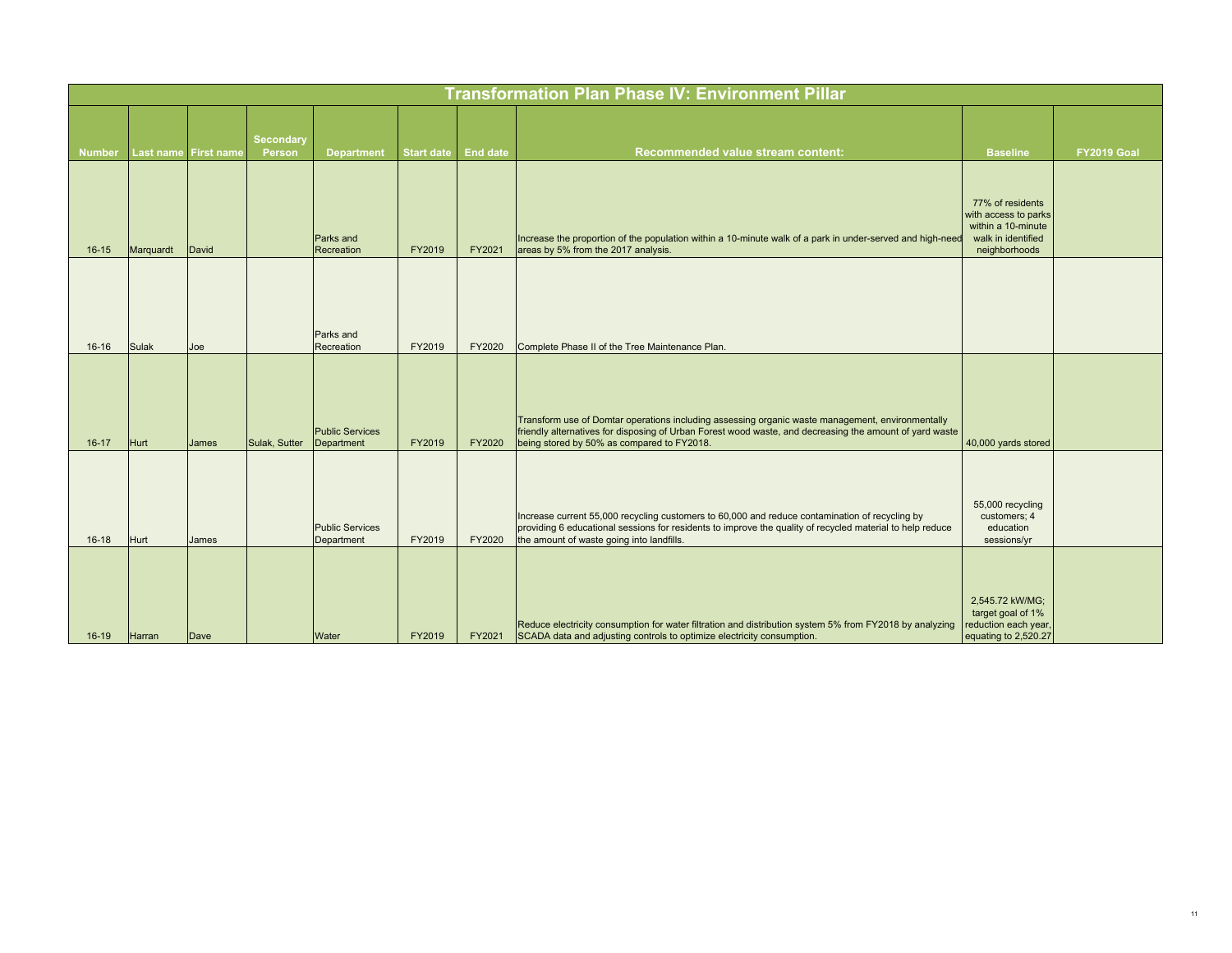|               |           |                      |                            |                                      |                   |                 | <b>Transformation Plan Phase IV: Environment Pillar</b>                                                                                                                                                                                                   |                                                                                                       |             |
|---------------|-----------|----------------------|----------------------------|--------------------------------------|-------------------|-----------------|-----------------------------------------------------------------------------------------------------------------------------------------------------------------------------------------------------------------------------------------------------------|-------------------------------------------------------------------------------------------------------|-------------|
| <b>Number</b> |           | Last name First name | <b>Secondary</b><br>Person | <b>Department</b>                    | <b>Start date</b> | <b>End date</b> | <b>Recommended value stream content:</b>                                                                                                                                                                                                                  | <b>Baseline</b>                                                                                       | FY2019 Goal |
| $16 - 15$     | Marquardt | David                |                            | <b>Parks and</b><br>Recreation       | FY2019            | FY2021          | Increase the proportion of the population within a 10-minute walk of a park in under-served and high-need<br>areas by 5% from the 2017 analysis.                                                                                                          | 77% of residents<br>with access to parks<br>within a 10-minute<br>walk in identified<br>neighborhoods |             |
| $16 - 16$     | Sulak     | Joe                  |                            | Parks and<br>Recreation              | FY2019            | FY2020          | Complete Phase II of the Tree Maintenance Plan.                                                                                                                                                                                                           |                                                                                                       |             |
| $16-17$       | Hurt      | James                | Sulak, Sutter              | <b>Public Services</b><br>Department | FY2019            | FY2020          | Transform use of Domtar operations including assessing organic waste management, environmentally<br>friendly alternatives for disposing of Urban Forest wood waste, and decreasing the amount of yard waste<br>being stored by 50% as compared to FY2018. | 40,000 yards stored                                                                                   |             |
| $16-18$       | Hurt      | James                |                            | <b>Public Services</b><br>Department | FY2019            | FY2020          | Increase current 55,000 recycling customers to 60,000 and reduce contamination of recycling by<br>providing 6 educational sessions for residents to improve the quality of recycled material to help reduce<br>the amount of waste going into landfills.  | 55,000 recycling<br>customers; 4<br>education<br>sessions/yr                                          |             |
| $16-19$       | Harran    | Dave                 |                            | Water                                | FY2019            | FY2021          | Reduce electricity consumption for water filtration and distribution system 5% from FY2018 by analyzing<br>SCADA data and adjusting controls to optimize electricity consumption.                                                                         | 2,545.72 kW/MG;<br>target goal of 1%<br>reduction each year,<br>equating to 2,520.27                  |             |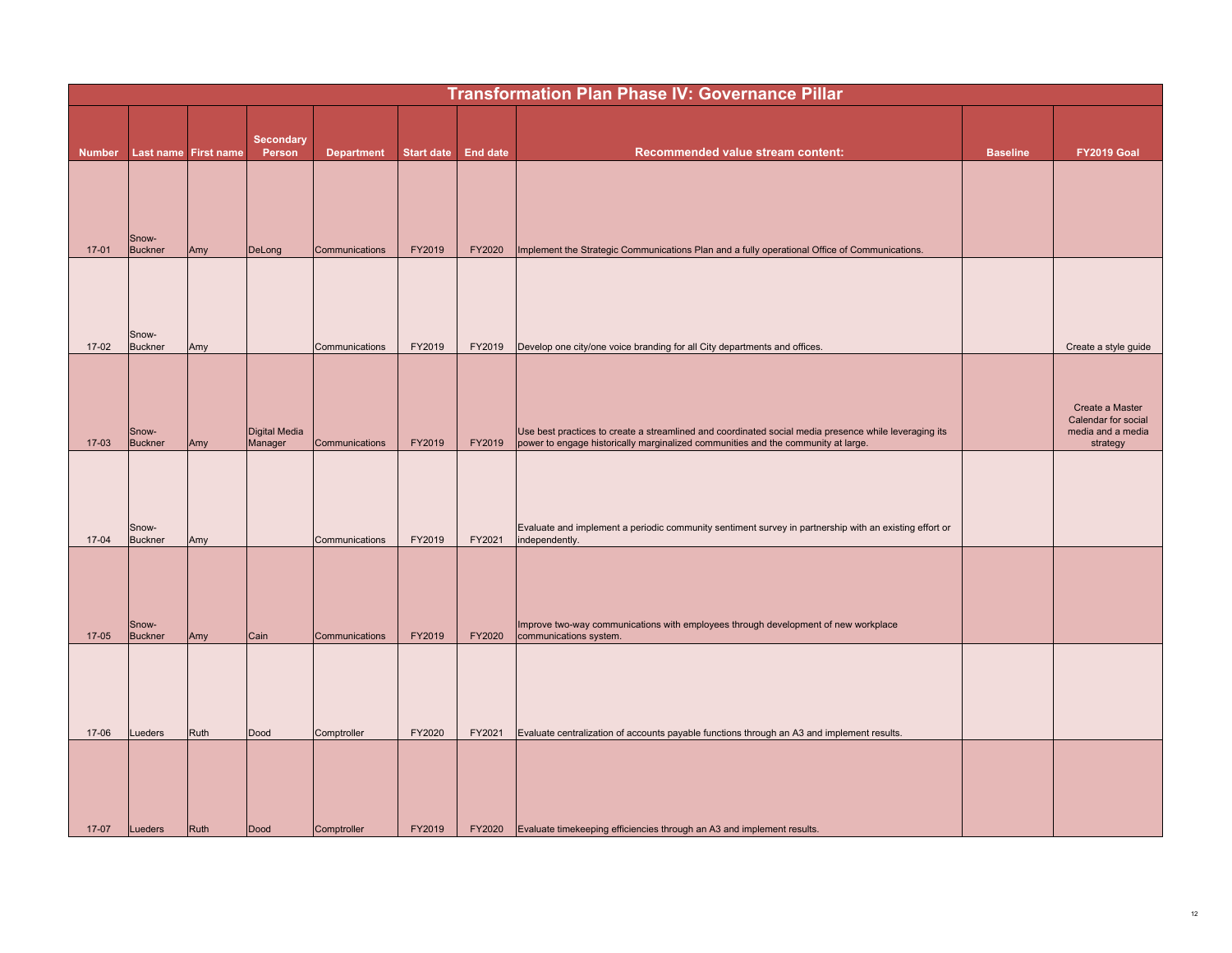|               |                         |                      |                            |                   |                   |                 | <b>Transformation Plan Phase IV: Governance Pillar</b>                                                                                                                                     |                 |                                                                         |
|---------------|-------------------------|----------------------|----------------------------|-------------------|-------------------|-----------------|--------------------------------------------------------------------------------------------------------------------------------------------------------------------------------------------|-----------------|-------------------------------------------------------------------------|
| <b>Number</b> |                         | Last name First name | <b>Secondary</b><br>Person | <b>Department</b> | <b>Start date</b> | <b>End date</b> | Recommended value stream content:                                                                                                                                                          | <b>Baseline</b> | FY2019 Goal                                                             |
|               |                         |                      |                            |                   |                   |                 |                                                                                                                                                                                            |                 |                                                                         |
| $17-01$       | Snow-<br><b>Buckner</b> | Amy                  | DeLong                     | Communications    | FY2019            | FY2020          | Implement the Strategic Communications Plan and a fully operational Office of Communications.                                                                                              |                 |                                                                         |
|               |                         |                      |                            |                   |                   |                 |                                                                                                                                                                                            |                 |                                                                         |
| $17-02$       | Snow-<br><b>Buckner</b> | Amy                  |                            | Communications    | FY2019            | FY2019          | Develop one city/one voice branding for all City departments and offices.                                                                                                                  |                 | Create a style guide                                                    |
| $17-03$       | Snow-<br><b>Buckner</b> | Amy                  | Digital Media<br>Manager   | Communications    | FY2019            | FY2019          | Use best practices to create a streamlined and coordinated social media presence while leveraging its<br>power to engage historically marginalized communities and the community at large. |                 | Create a Master<br>Calendar for social<br>media and a media<br>strategy |
| $17-04$       | Snow-<br><b>Buckner</b> | Amy                  |                            | Communications    | FY2019            | FY2021          | Evaluate and implement a periodic community sentiment survey in partnership with an existing effort or<br>independently.                                                                   |                 |                                                                         |
| 17-05         | Snow-<br><b>Buckner</b> | Amy                  | Cain                       | Communications    | FY2019            | FY2020          | Improve two-way communications with employees through development of new workplace<br>communications system.                                                                               |                 |                                                                         |
|               |                         |                      |                            |                   |                   |                 |                                                                                                                                                                                            |                 |                                                                         |
| 17-06         | Lueders                 | Ruth                 | Dood                       | Comptroller       | FY2020            | FY2021          | Evaluate centralization of accounts payable functions through an A3 and implement results.                                                                                                 |                 |                                                                         |
| $17-07$       | Lueders                 | <b>Ruth</b>          | Dood                       | Comptroller       | FY2019            | <b>FY2020</b>   | Evaluate timekeeping efficiencies through an A3 and implement results.                                                                                                                     |                 |                                                                         |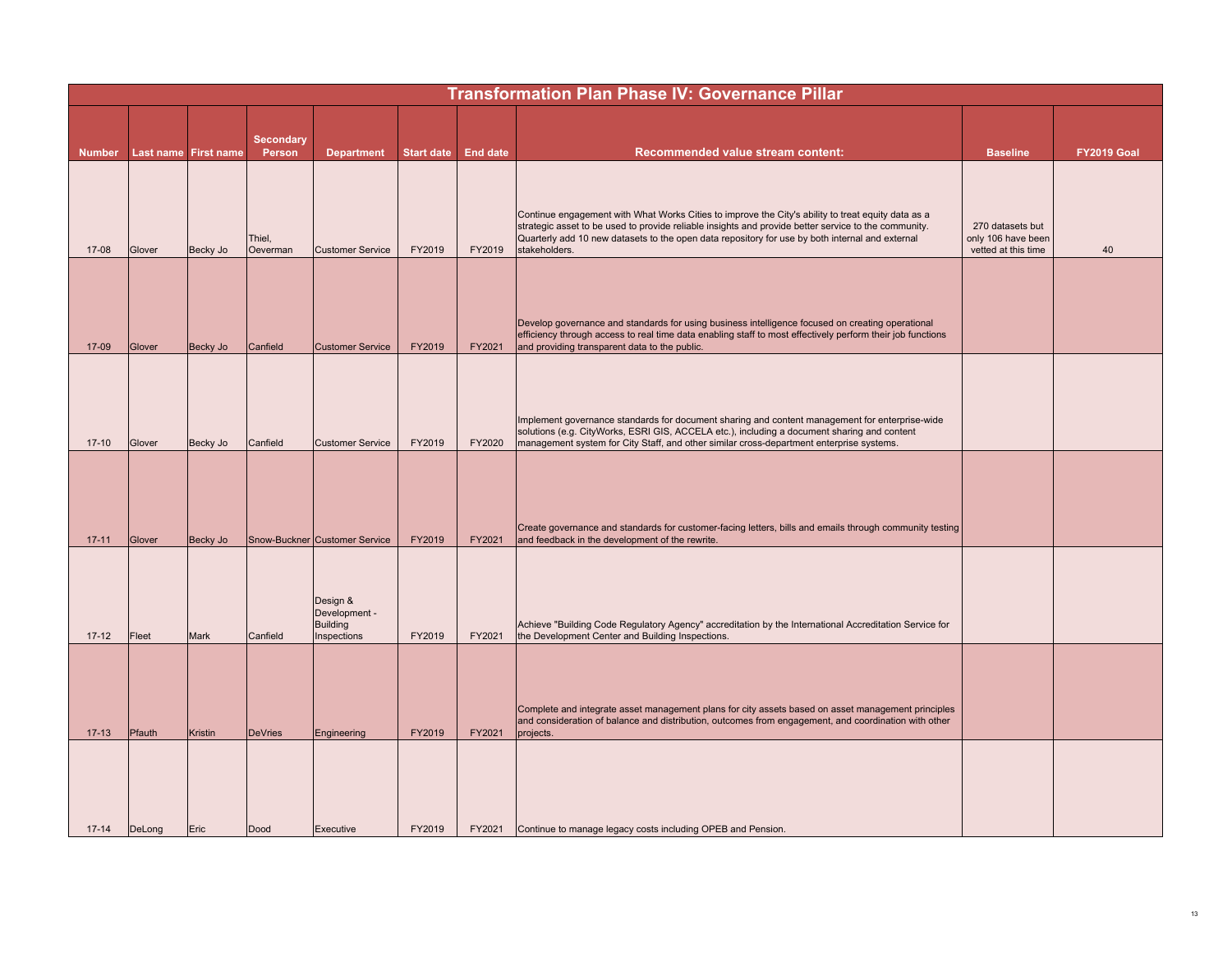|               | <b>Transformation Plan Phase IV: Governance Pillar</b> |                |                            |                                                             |                   |                 |                                                                                                                                                                                                                                                                                                                                |                                                               |             |  |  |  |
|---------------|--------------------------------------------------------|----------------|----------------------------|-------------------------------------------------------------|-------------------|-----------------|--------------------------------------------------------------------------------------------------------------------------------------------------------------------------------------------------------------------------------------------------------------------------------------------------------------------------------|---------------------------------------------------------------|-------------|--|--|--|
|               |                                                        |                |                            |                                                             |                   |                 |                                                                                                                                                                                                                                                                                                                                |                                                               |             |  |  |  |
|               |                                                        |                | <b>Secondary</b><br>Person |                                                             | <b>Start date</b> | <b>End date</b> | Recommended value stream content:                                                                                                                                                                                                                                                                                              | <b>Baseline</b>                                               | FY2019 Goal |  |  |  |
| <b>Number</b> | Last name First name                                   |                |                            | <b>Department</b>                                           |                   |                 |                                                                                                                                                                                                                                                                                                                                |                                                               |             |  |  |  |
| 17-08         | Glover                                                 | Becky Jo       | Thiel,<br>Oeverman         | <b>Customer Service</b>                                     | FY2019            | FY2019          | Continue engagement with What Works Cities to improve the City's ability to treat equity data as a<br>strategic asset to be used to provide reliable insights and provide better service to the community.<br>Quarterly add 10 new datasets to the open data repository for use by both internal and external<br>stakeholders. | 270 datasets but<br>only 106 have been<br>vetted at this time | 40          |  |  |  |
| 17-09         | Glover                                                 | Becky Jo       | Canfield                   | <b>Customer Service</b>                                     | FY2019            | FY2021          | Develop governance and standards for using business intelligence focused on creating operational<br>efficiency through access to real time data enabling staff to most effectively perform their job functions<br>and providing transparent data to the public.                                                                |                                                               |             |  |  |  |
| $17 - 10$     | Glover                                                 | Becky Jo       | Canfield                   | <b>Customer Service</b>                                     | FY2019            | FY2020          | Implement governance standards for document sharing and content management for enterprise-wide<br>solutions (e.g. CityWorks, ESRI GIS, ACCELA etc.), including a document sharing and content<br>management system for City Staff, and other similar cross-department enterprise systems.                                      |                                                               |             |  |  |  |
| $17 - 11$     | Glover                                                 | Becky Jo       |                            | Snow-Buckner Customer Service                               | FY2019            | FY2021          | Create governance and standards for customer-facing letters, bills and emails through community testing<br>and feedback in the development of the rewrite.                                                                                                                                                                     |                                                               |             |  |  |  |
| $17 - 12$     | Fleet                                                  | Mark           | Canfield                   | Design &<br>Development -<br><b>Building</b><br>Inspections | FY2019            | FY2021          | Achieve "Building Code Regulatory Agency" accreditation by the International Accreditation Service for<br>the Development Center and Building Inspections.                                                                                                                                                                     |                                                               |             |  |  |  |
| $17 - 13$     | Pfauth                                                 | <b>Kristin</b> | <b>DeVries</b>             | Engineering                                                 | FY2019            | FY2021          | Complete and integrate asset management plans for city assets based on asset management principles<br>and consideration of balance and distribution, outcomes from engagement, and coordination with other<br>projects.                                                                                                        |                                                               |             |  |  |  |
| $17 - 14$     | DeLong                                                 | Eric           | Dood                       | Executive                                                   | FY2019            | FY2021          | Continue to manage legacy costs including OPEB and Pension.                                                                                                                                                                                                                                                                    |                                                               |             |  |  |  |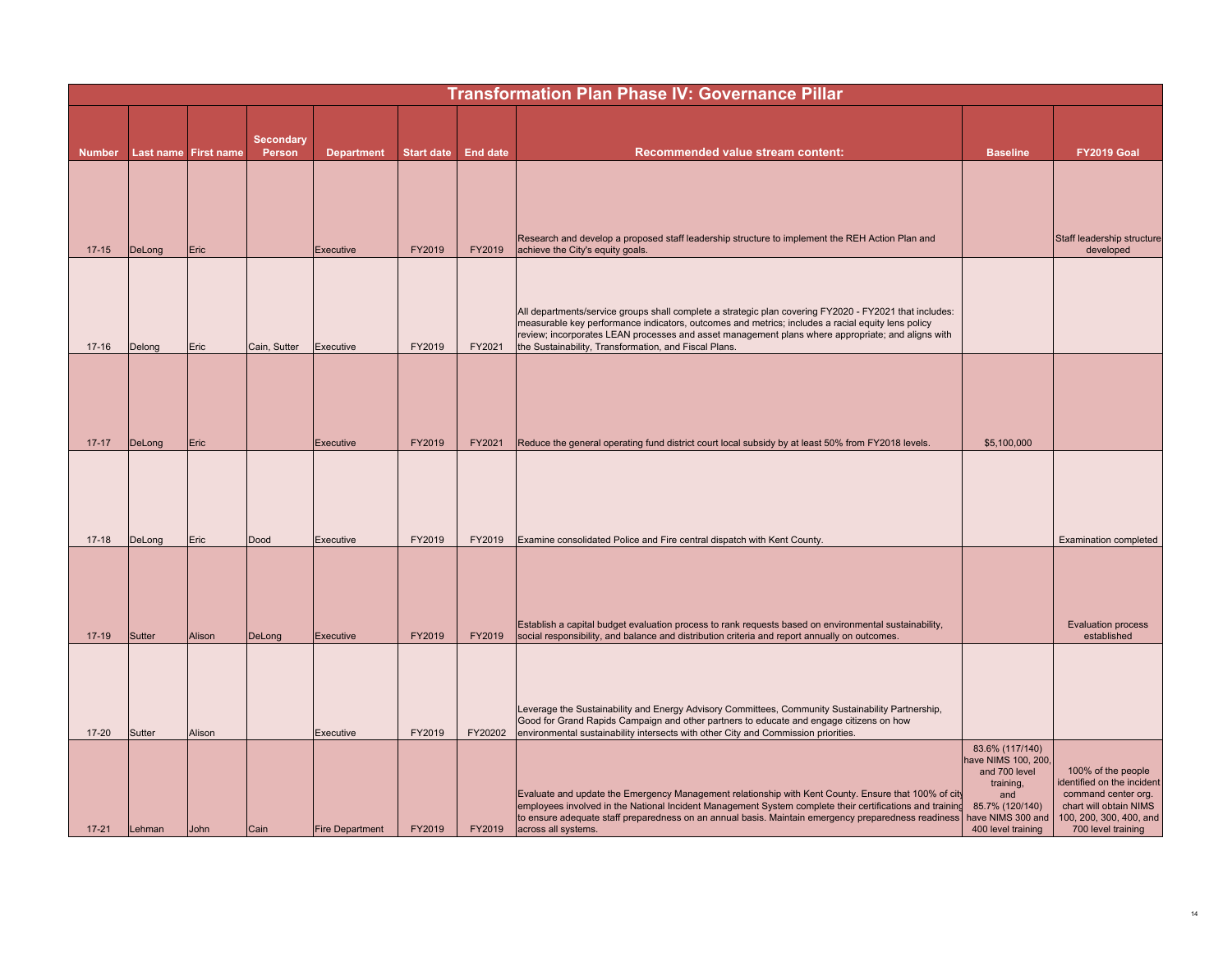|               | <b>Transformation Plan Phase IV: Governance Pillar</b> |                      |                  |                        |                   |                 |                                                                                                                                                                                                                                                                                                                                                                           |                                                                                                                                           |                                                                                                                                                    |  |  |  |
|---------------|--------------------------------------------------------|----------------------|------------------|------------------------|-------------------|-----------------|---------------------------------------------------------------------------------------------------------------------------------------------------------------------------------------------------------------------------------------------------------------------------------------------------------------------------------------------------------------------------|-------------------------------------------------------------------------------------------------------------------------------------------|----------------------------------------------------------------------------------------------------------------------------------------------------|--|--|--|
|               |                                                        |                      | <b>Secondary</b> |                        |                   |                 |                                                                                                                                                                                                                                                                                                                                                                           |                                                                                                                                           |                                                                                                                                                    |  |  |  |
| <b>Number</b> |                                                        | Last name First name | Person           | <b>Department</b>      | <b>Start date</b> | <b>End date</b> | <b>Recommended value stream content:</b>                                                                                                                                                                                                                                                                                                                                  | <b>Baseline</b>                                                                                                                           | FY2019 Goal                                                                                                                                        |  |  |  |
| $17 - 15$     | DeLong                                                 | Eric                 |                  | <b>Executive</b>       | FY2019            | FY2019          | Research and develop a proposed staff leadership structure to implement the REH Action Plan and<br>achieve the City's equity goals.                                                                                                                                                                                                                                       |                                                                                                                                           | Staff leadership structure<br>developed                                                                                                            |  |  |  |
| $17 - 16$     | Delong                                                 | Eric                 | Cain, Sutter     | Executive              | FY2019            | FY2021          | All departments/service groups shall complete a strategic plan covering FY2020 - FY2021 that includes:<br>measurable key performance indicators, outcomes and metrics; includes a racial equity lens policy<br>review; incorporates LEAN processes and asset management plans where appropriate; and aligns with<br>the Sustainability, Transformation, and Fiscal Plans. |                                                                                                                                           |                                                                                                                                                    |  |  |  |
| $17 - 17$     | DeLong                                                 | Eric                 |                  | Executive              | FY2019            | FY2021          | Reduce the general operating fund district court local subsidy by at least 50% from FY2018 levels.                                                                                                                                                                                                                                                                        | \$5,100,000                                                                                                                               |                                                                                                                                                    |  |  |  |
| $17 - 18$     | DeLong                                                 | Eric                 | Dood             | Executive              | FY2019            | FY2019          | Examine consolidated Police and Fire central dispatch with Kent County.                                                                                                                                                                                                                                                                                                   |                                                                                                                                           | <b>Examination completed</b>                                                                                                                       |  |  |  |
| $17 - 19$     | Sutter                                                 | Alison               | DeLong           | Executive              | FY2019            | FY2019          | Establish a capital budget evaluation process to rank requests based on environmental sustainability,<br>social responsibility, and balance and distribution criteria and report annually on outcomes.                                                                                                                                                                    |                                                                                                                                           | <b>Evaluation process</b><br>established                                                                                                           |  |  |  |
| $17 - 20$     | Sutter                                                 | Alison               |                  | Executive              | FY2019            | FY20202         | Leverage the Sustainability and Energy Advisory Committees, Community Sustainability Partnership,<br>Good for Grand Rapids Campaign and other partners to educate and engage citizens on how<br>environmental sustainability intersects with other City and Commission priorities.                                                                                        |                                                                                                                                           |                                                                                                                                                    |  |  |  |
| $17 - 21$     | Lehman                                                 | John                 | Cain             | <b>Fire Department</b> | FY2019            | FY2019          | Evaluate and update the Emergency Management relationship with Kent County. Ensure that 100% of city<br>employees involved in the National Incident Management System complete their certifications and training<br>to ensure adequate staff preparedness on an annual basis. Maintain emergency preparedness readiness<br>across all systems.                            | 83.6% (117/140)<br>have NIMS 100, 200,<br>and 700 level<br>training,<br>and<br>85.7% (120/140)<br>have NIMS 300 and<br>400 level training | 100% of the people<br>identified on the incident<br>command center org.<br>chart will obtain NIMS<br>100, 200, 300, 400, and<br>700 level training |  |  |  |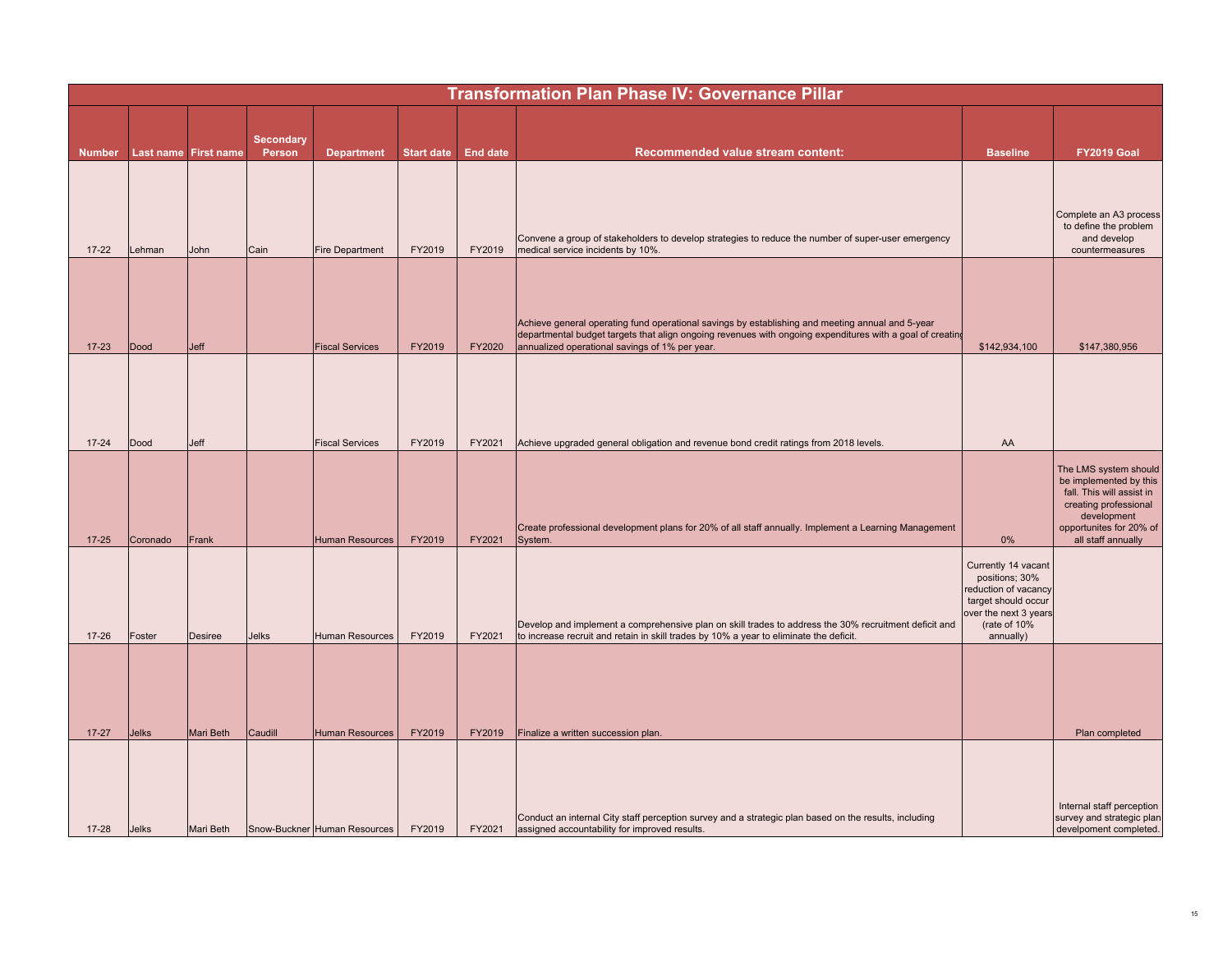|               | <b>Transformation Plan Phase IV: Governance Pillar</b> |                      |                  |                              |                   |                 |                                                                                                                                                                                                                                                                 |                                                                                                                                            |                                                                                                                                                                       |  |  |  |
|---------------|--------------------------------------------------------|----------------------|------------------|------------------------------|-------------------|-----------------|-----------------------------------------------------------------------------------------------------------------------------------------------------------------------------------------------------------------------------------------------------------------|--------------------------------------------------------------------------------------------------------------------------------------------|-----------------------------------------------------------------------------------------------------------------------------------------------------------------------|--|--|--|
|               |                                                        |                      |                  |                              |                   |                 |                                                                                                                                                                                                                                                                 |                                                                                                                                            |                                                                                                                                                                       |  |  |  |
|               |                                                        |                      | <b>Secondary</b> |                              |                   |                 |                                                                                                                                                                                                                                                                 |                                                                                                                                            |                                                                                                                                                                       |  |  |  |
| <b>Number</b> |                                                        | Last name First name | Person           | <b>Department</b>            | <b>Start date</b> | <b>End date</b> | Recommended value stream content:                                                                                                                                                                                                                               | <b>Baseline</b>                                                                                                                            | <b>FY2019 Goal</b>                                                                                                                                                    |  |  |  |
|               |                                                        |                      |                  |                              |                   |                 |                                                                                                                                                                                                                                                                 |                                                                                                                                            |                                                                                                                                                                       |  |  |  |
| $17 - 22$     | Lehman                                                 | <b>John</b>          | Cain             | <b>Fire Department</b>       | FY2019            | FY2019          | Convene a group of stakeholders to develop strategies to reduce the number of super-user emergency<br>medical service incidents by 10%.                                                                                                                         |                                                                                                                                            | Complete an A3 process<br>to define the problem<br>and develop<br>countermeasures                                                                                     |  |  |  |
|               |                                                        |                      |                  |                              |                   |                 |                                                                                                                                                                                                                                                                 |                                                                                                                                            |                                                                                                                                                                       |  |  |  |
| $17 - 23$     | Dood                                                   | Jeff                 |                  | <b>Fiscal Services</b>       | FY2019            | FY2020          | Achieve general operating fund operational savings by establishing and meeting annual and 5-year<br>departmental budget targets that align ongoing revenues with ongoing expenditures with a goal of creating<br>annualized operational savings of 1% per year. | \$142,934,100                                                                                                                              | \$147,380,956                                                                                                                                                         |  |  |  |
|               |                                                        |                      |                  |                              |                   |                 |                                                                                                                                                                                                                                                                 |                                                                                                                                            |                                                                                                                                                                       |  |  |  |
| $17 - 24$     | Dood                                                   | Jeff                 |                  | <b>Fiscal Services</b>       | FY2019            | FY2021          | Achieve upgraded general obligation and revenue bond credit ratings from 2018 levels.                                                                                                                                                                           | AA                                                                                                                                         |                                                                                                                                                                       |  |  |  |
| $17 - 25$     | Coronado                                               | Frank                |                  | <b>Human Resources</b>       | FY2019            | FY2021          | Create professional development plans for 20% of all staff annually. Implement a Learning Management<br>System.                                                                                                                                                 | $0\%$                                                                                                                                      | The LMS system should<br>be implemented by this<br>fall. This will assist in<br>creating professional<br>development<br>opportunites for 20% of<br>all staff annually |  |  |  |
| $17 - 26$     | Foster                                                 | <b>Desiree</b>       | <b>Jelks</b>     | <b>Human Resources</b>       | FY2019            | FY2021          | Develop and implement a comprehensive plan on skill trades to address the 30% recruitment deficit and<br>to increase recruit and retain in skill trades by 10% a year to eliminate the deficit.                                                                 | Currently 14 vacant<br>positions; 30%<br>reduction of vacancy<br>target should occur<br>over the next 3 years<br>(rate of 10%<br>annually) |                                                                                                                                                                       |  |  |  |
|               |                                                        |                      |                  |                              |                   |                 |                                                                                                                                                                                                                                                                 |                                                                                                                                            |                                                                                                                                                                       |  |  |  |
| $17 - 27$     | <b>Jelks</b>                                           | Mari Beth            | Caudill          | <b>Human Resources</b>       | FY2019            | FY2019          | Finalize a written succession plan.                                                                                                                                                                                                                             |                                                                                                                                            | Plan completed                                                                                                                                                        |  |  |  |
| $17 - 28$     | <b>Jelks</b>                                           | Mari Beth            |                  | Snow-Buckner Human Resources | FY2019            | FY2021          | Conduct an internal City staff perception survey and a strategic plan based on the results, including<br>assigned accountability for improved results.                                                                                                          |                                                                                                                                            | Internal staff perception<br>survey and strategic plan<br>develpoment completed.                                                                                      |  |  |  |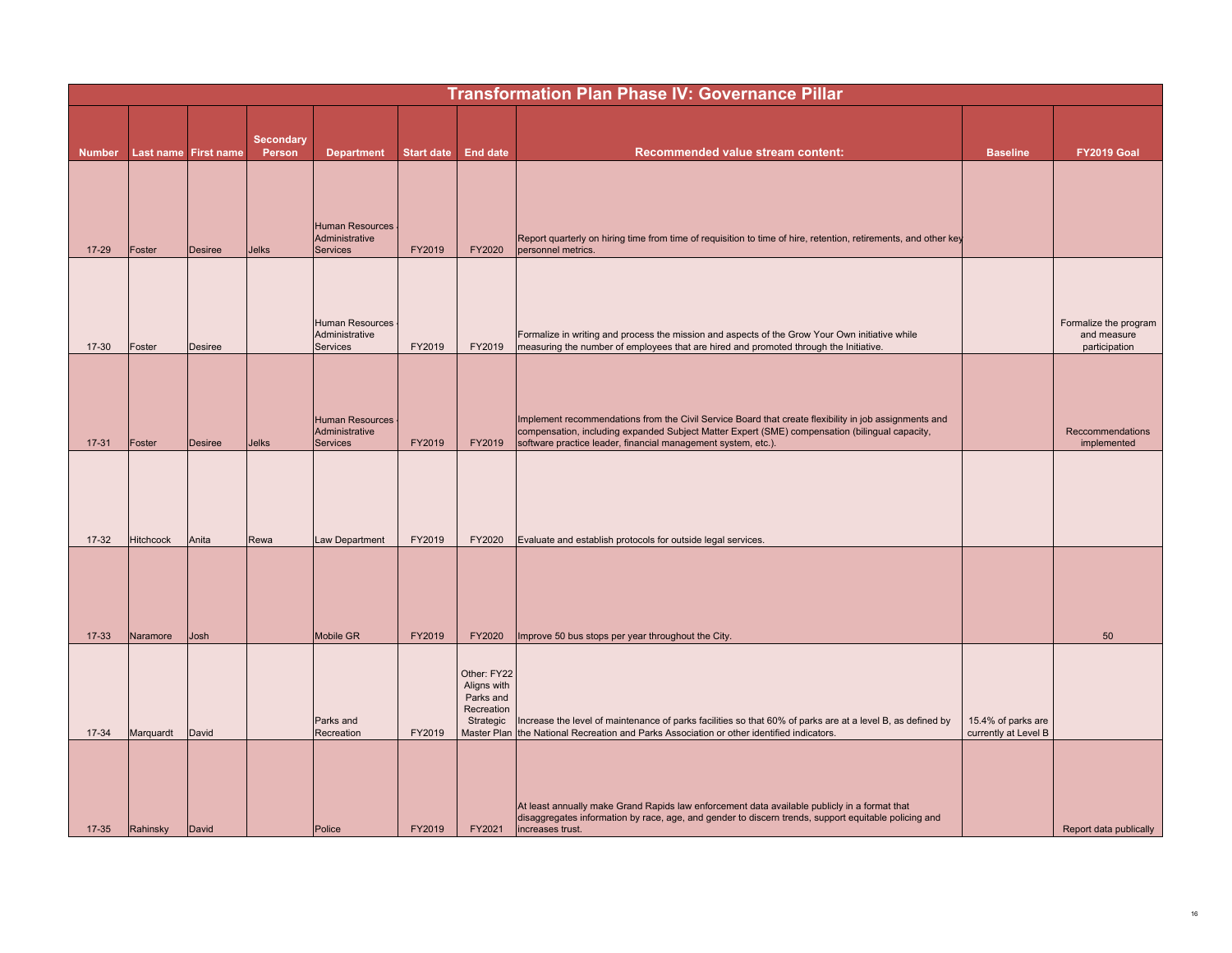|               | <b>Transformation Plan Phase IV: Governance Pillar</b> |                      |                            |                                                      |                   |                                                                    |                                                                                                                                                                                                                                                                          |                                            |                                                       |  |  |  |
|---------------|--------------------------------------------------------|----------------------|----------------------------|------------------------------------------------------|-------------------|--------------------------------------------------------------------|--------------------------------------------------------------------------------------------------------------------------------------------------------------------------------------------------------------------------------------------------------------------------|--------------------------------------------|-------------------------------------------------------|--|--|--|
| <b>Number</b> |                                                        | Last name First name | <b>Secondary</b><br>Person | <b>Department</b>                                    | <b>Start date</b> | <b>End date</b>                                                    | Recommended value stream content:                                                                                                                                                                                                                                        | <b>Baseline</b>                            | FY2019 Goal                                           |  |  |  |
| $17 - 29$     | Foster                                                 | <b>Desiree</b>       | <b>Jelks</b>               | <b>Human Resources</b><br>Administrative<br>Services | FY2019            | FY2020                                                             | Report quarterly on hiring time from time of requisition to time of hire, retention, retirements, and other key<br>personnel metrics.                                                                                                                                    |                                            |                                                       |  |  |  |
| $17 - 30$     | Foster                                                 | <b>Desiree</b>       |                            | <b>Human Resources</b><br>Administrative<br>Services | FY2019            | FY2019                                                             | Formalize in writing and process the mission and aspects of the Grow Your Own initiative while<br>measuring the number of employees that are hired and promoted through the Initiative.                                                                                  |                                            | Formalize the program<br>and measure<br>participation |  |  |  |
| $17 - 31$     | Foster                                                 | <b>Desiree</b>       | <b>Jelks</b>               | <b>Human Resources</b><br>Administrative<br>Services | FY2019            | FY2019                                                             | Implement recommendations from the Civil Service Board that create flexibility in job assignments and<br>compensation, including expanded Subject Matter Expert (SME) compensation (bilingual capacity,<br>software practice leader, financial management system, etc.). |                                            | Reccommendations<br>implemented                       |  |  |  |
| $17-32$       | <b>Hitchcock</b>                                       | Anita                | Rewa                       | Law Department                                       | FY2019            | FY2020                                                             | Evaluate and establish protocols for outside legal services.                                                                                                                                                                                                             |                                            |                                                       |  |  |  |
| $17 - 33$     | Naramore                                               | Josh                 |                            | Mobile GR                                            | FY2019            | FY2020                                                             | Improve 50 bus stops per year throughout the City.                                                                                                                                                                                                                       |                                            | 50                                                    |  |  |  |
| $17 - 34$     | Marquardt                                              | David                |                            | Parks and<br>Recreation                              | FY2019            | Other: FY22<br>Aligns with<br>Parks and<br>Recreation<br>Strategic | Increase the level of maintenance of parks facilities so that 60% of parks are at a level B, as defined by<br>Master Plan the National Recreation and Parks Association or other identified indicators.                                                                  | 15.4% of parks are<br>currently at Level B |                                                       |  |  |  |
| $17 - 35$     | Rahinsky                                               | David                |                            | Police                                               | FY2019            | FY2021                                                             | At least annually make Grand Rapids law enforcement data available publicly in a format that<br>disaggregates information by race, age, and gender to discern trends, support equitable policing and<br>increases trust.                                                 |                                            | Report data publically                                |  |  |  |